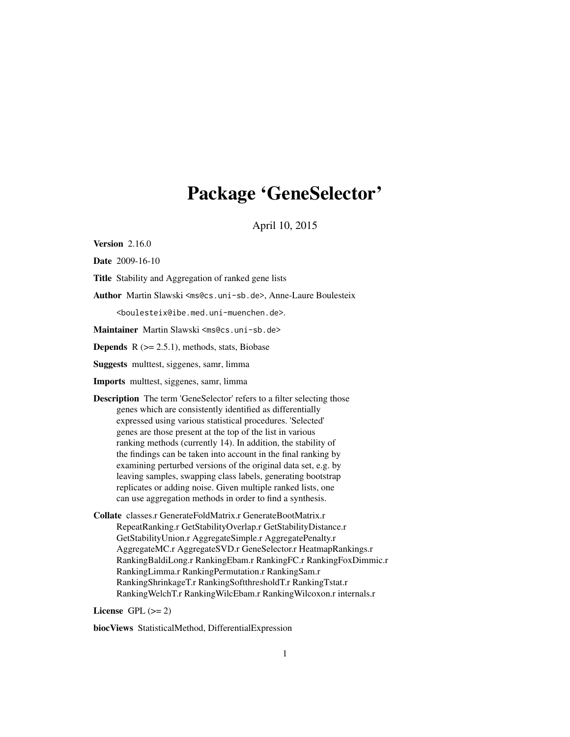# Package 'GeneSelector'

April 10, 2015

**Version** 2.16.0

Date 2009-16-10

Title Stability and Aggregation of ranked gene lists

Author Martin Slawski <ms@cs.uni-sb.de>, Anne-Laure Boulesteix

<boulesteix@ibe.med.uni-muenchen.de>.

Maintainer Martin Slawski <ms@cs.uni-sb.de>

**Depends**  $R$  ( $>= 2.5.1$ ), methods, stats, Biobase

Suggests multtest, siggenes, samr, limma

Imports multtest, siggenes, samr, limma

Description The term 'GeneSelector' refers to a filter selecting those genes which are consistently identified as differentially expressed using various statistical procedures. 'Selected' genes are those present at the top of the list in various ranking methods (currently 14). In addition, the stability of the findings can be taken into account in the final ranking by examining perturbed versions of the original data set, e.g. by leaving samples, swapping class labels, generating bootstrap replicates or adding noise. Given multiple ranked lists, one can use aggregation methods in order to find a synthesis.

Collate classes.r GenerateFoldMatrix.r GenerateBootMatrix.r RepeatRanking.r GetStabilityOverlap.r GetStabilityDistance.r GetStabilityUnion.r AggregateSimple.r AggregatePenalty.r AggregateMC.r AggregateSVD.r GeneSelector.r HeatmapRankings.r RankingBaldiLong.r RankingEbam.r RankingFC.r RankingFoxDimmic.r RankingLimma.r RankingPermutation.r RankingSam.r RankingShrinkageT.r RankingSoftthresholdT.r RankingTstat.r RankingWelchT.r RankingWilcEbam.r RankingWilcoxon.r internals.r

License GPL  $(>= 2)$ 

biocViews StatisticalMethod, DifferentialExpression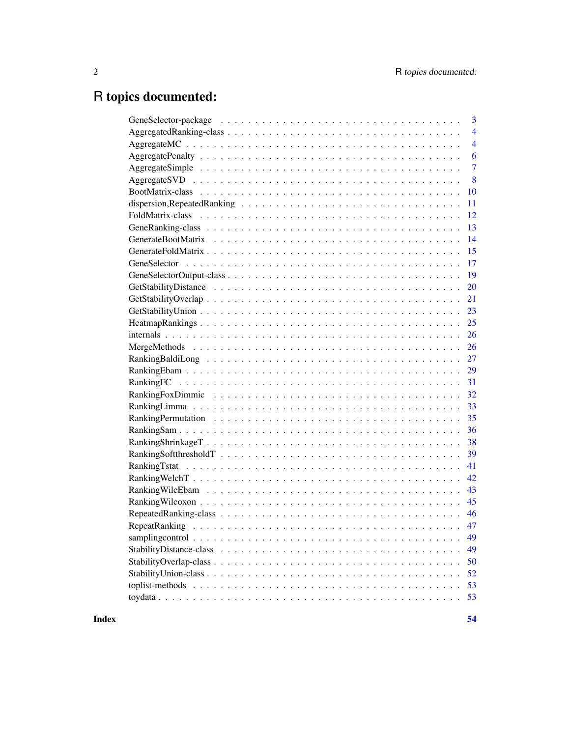# R topics documented:

| 3              |
|----------------|
| $\overline{4}$ |
| $\overline{4}$ |
| 6              |
| $\overline{7}$ |
| 8              |
| 10             |
| 11             |
| 12             |
|                |
|                |
|                |
|                |
|                |
| 20             |
| 21             |
|                |
|                |
|                |
|                |
|                |
| 29             |
| 31             |
|                |
|                |
|                |
|                |
|                |
|                |
| 41             |
| 42             |
| 43             |
|                |
|                |
|                |
| 49             |
| 49             |
| 50             |
| 52             |
| 53             |
| 53             |
|                |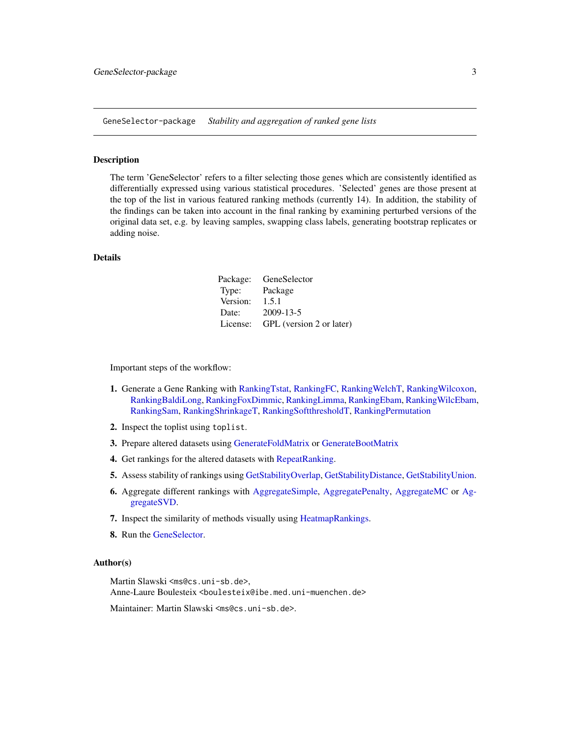<span id="page-2-0"></span>GeneSelector-package *Stability and aggregation of ranked gene lists*

#### Description

The term 'GeneSelector' refers to a filter selecting those genes which are consistently identified as differentially expressed using various statistical procedures. 'Selected' genes are those present at the top of the list in various featured ranking methods (currently 14). In addition, the stability of the findings can be taken into account in the final ranking by examining perturbed versions of the original data set, e.g. by leaving samples, swapping class labels, generating bootstrap replicates or adding noise.

#### Details

| Package:<br>GeneSelector |
|--------------------------|
| Package                  |
| 1.5.1                    |
| 2009-13-5                |
| GPL (version 2 or later) |
|                          |

Important steps of the workflow:

- 1. Generate a Gene Ranking with [RankingTstat,](#page-40-1) [RankingFC,](#page-30-1) [RankingWelchT,](#page-41-1) [RankingWilcoxon,](#page-44-1) [RankingBaldiLong,](#page-26-1) [RankingFoxDimmic,](#page-31-1) [RankingLimma,](#page-32-1) [RankingEbam,](#page-28-1) [RankingWilcEbam,](#page-42-1) [RankingSam,](#page-35-1) [RankingShrinkageT,](#page-37-1) [RankingSoftthresholdT,](#page-38-1) [RankingPermutation](#page-34-1)
- 2. Inspect the toplist using toplist.
- 3. Prepare altered datasets using [GenerateFoldMatrix](#page-14-1) or [GenerateBootMatrix](#page-13-1)
- 4. Get rankings for the altered datasets with [RepeatRanking.](#page-46-1)
- 5. Assess stability of rankings using [GetStabilityOverlap,](#page-20-1) [GetStabilityDistance,](#page-19-1) [GetStabilityUnion.](#page-22-1)
- 6. Aggregate different rankings with [AggregateSimple,](#page-6-1) [AggregatePenalty,](#page-5-1) [AggregateMC](#page-3-1) or [Ag](#page-7-1)[gregateSVD.](#page-7-1)
- 7. Inspect the similarity of methods visually using [HeatmapRankings.](#page-24-1)
- 8. Run the [GeneSelector.](#page-16-1)

#### Author(s)

Martin Slawski <ms@cs.uni-sb.de>,

Anne-Laure Boulesteix <boulesteix@ibe.med.uni-muenchen.de>

Maintainer: Martin Slawski <ms@cs.uni-sb.de>.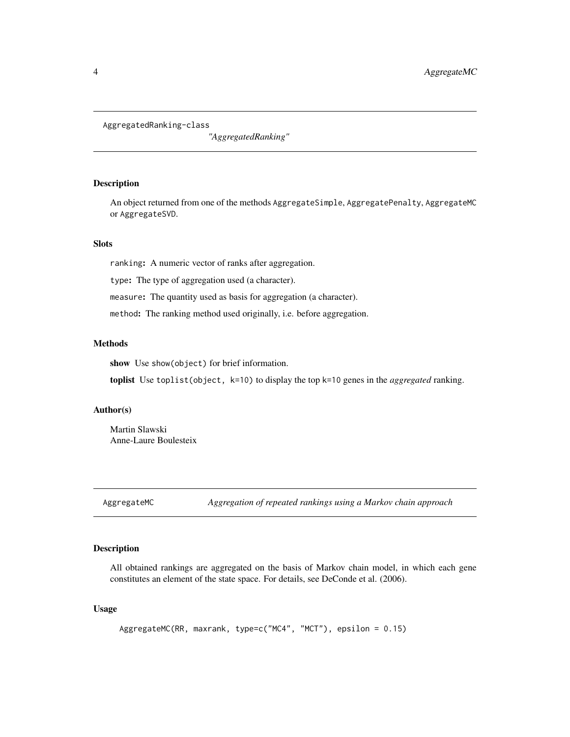<span id="page-3-3"></span><span id="page-3-0"></span>AggregatedRanking-class

*"AggregatedRanking"*

## <span id="page-3-2"></span>Description

An object returned from one of the methods AggregateSimple, AggregatePenalty, AggregateMC or AggregateSVD.

# **Slots**

ranking: A numeric vector of ranks after aggregation.

type: The type of aggregation used (a character).

measure: The quantity used as basis for aggregation (a character).

method: The ranking method used originally, i.e. before aggregation.

## Methods

show Use show(object) for brief information.

toplist Use toplist(object, k=10) to display the top k=10 genes in the *aggregated* ranking.

# Author(s)

Martin Slawski Anne-Laure Boulesteix

<span id="page-3-1"></span>AggregateMC *Aggregation of repeated rankings using a Markov chain approach*

## Description

All obtained rankings are aggregated on the basis of Markov chain model, in which each gene constitutes an element of the state space. For details, see DeConde et al. (2006).

# Usage

AggregateMC(RR, maxrank, type=c("MC4", "MCT"), epsilon = 0.15)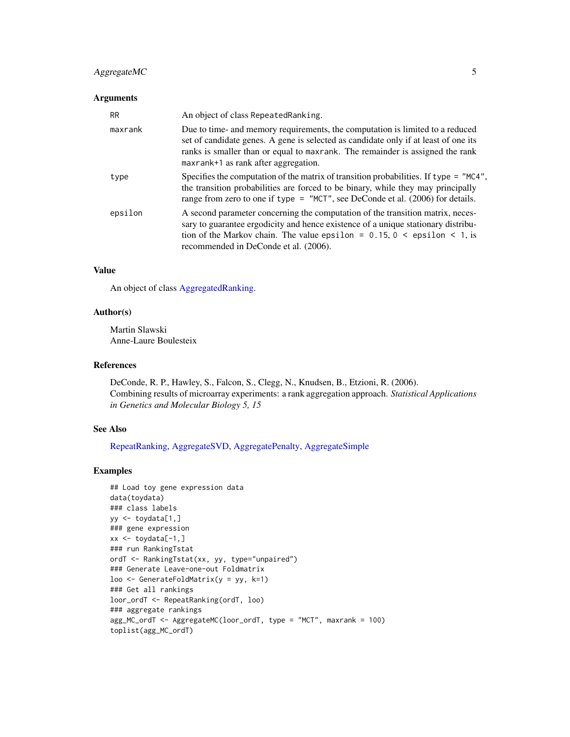# AggregateMC 5

# Arguments

| <b>RR</b> | An object of class Repeated Ranking.                                                                                                                                                                                                                                                                   |
|-----------|--------------------------------------------------------------------------------------------------------------------------------------------------------------------------------------------------------------------------------------------------------------------------------------------------------|
| maxrank   | Due to time- and memory requirements, the computation is limited to a reduced<br>set of candidate genes. A gene is selected as candidate only if at least of one its<br>ranks is smaller than or equal to maxrank. The remainder is assigned the rank<br>maxrank+1 as rank after aggregation.          |
| type      | Specifies the computation of the matrix of transition probabilities. If type $=$ "MC4",<br>the transition probabilities are forced to be binary, while they may principally<br>range from zero to one if type = "MCT", see DeConde et al. $(2006)$ for details.                                        |
| epsilon   | A second parameter concerning the computation of the transition matrix, neces-<br>sary to guarantee ergodicity and hence existence of a unique stationary distribu-<br>tion of the Markov chain. The value epsilon = $0.15$ , $0 \le \text{epsilon} < 1$ , is<br>recommended in DeConde et al. (2006). |

# Value

An object of class [AggregatedRanking.](#page-3-2)

# Author(s)

Martin Slawski Anne-Laure Boulesteix

#### References

DeConde, R. P., Hawley, S., Falcon, S., Clegg, N., Knudsen, B., Etzioni, R. (2006). Combining results of microarray experiments: a rank aggregation approach. *Statistical Applications in Genetics and Molecular Biology 5, 15*

# See Also

[RepeatRanking,](#page-46-1) [AggregateSVD,](#page-7-1) [AggregatePenalty,](#page-5-1) [AggregateSimple](#page-6-1)

#### Examples

```
## Load toy gene expression data
data(toydata)
### class labels
yy <- toydata[1,]
### gene expression
xx \le toydata[-1,]
### run RankingTstat
ordT <- RankingTstat(xx, yy, type="unpaired")
### Generate Leave-one-out Foldmatrix
loo <- GenerateFoldMatrix(y = yy, k=1)
### Get all rankings
loor_ordT <- RepeatRanking(ordT, loo)
### aggregate rankings
agg_MC_ordT <- AggregateMC(loor_ordT, type = "MCT", maxrank = 100)
toplist(agg_MC_ordT)
```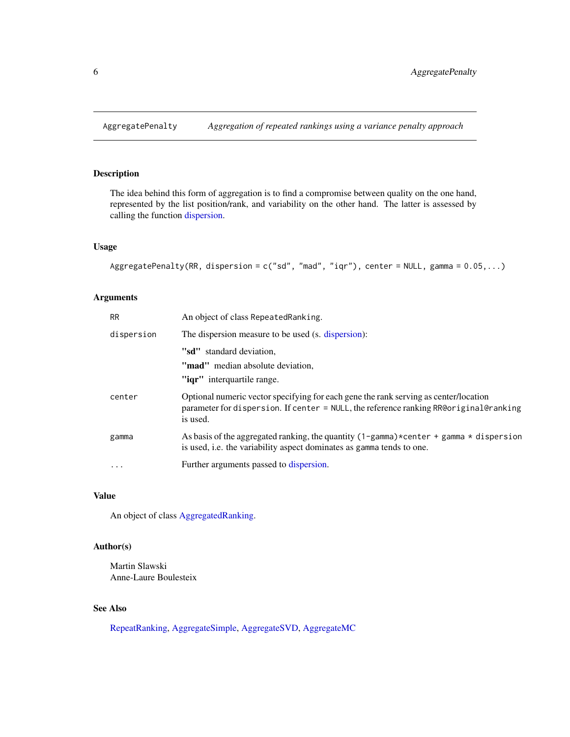<span id="page-5-1"></span><span id="page-5-0"></span>

# Description

The idea behind this form of aggregation is to find a compromise between quality on the one hand, represented by the list position/rank, and variability on the other hand. The latter is assessed by calling the function [dispersion.](#page-10-1)

## Usage

```
AggregatePenalty(RR, dispersion = c("sd", "mad", "iqr"), center = NULL, gamma = 0.05,...)
```
## Arguments

| <b>RR</b>  | An object of class Repeated Ranking.                                                                                                                                                                        |
|------------|-------------------------------------------------------------------------------------------------------------------------------------------------------------------------------------------------------------|
| dispersion | The dispersion measure to be used (s. dispersion):                                                                                                                                                          |
|            | "sd" standard deviation,<br>"mad" median absolute deviation,<br>" <b>igr</b> " interguartile range.                                                                                                         |
| center     | Optional numeric vector specifying for each gene the rank serving as center/location<br>parameter for dispersion. If center = NULL, the reference ranking RR@original@ranking<br>is used.                   |
| gamma      | As basis of the aggregated ranking, the quantity $(1 - \text{gamma}) \times \text{center} + \text{gamma} \times \text{dispersion}$<br>is used, i.e. the variability aspect dominates as gamma tends to one. |
| $\ddotsc$  | Further arguments passed to dispersion.                                                                                                                                                                     |

# Value

An object of class [AggregatedRanking.](#page-3-2)

# Author(s)

Martin Slawski Anne-Laure Boulesteix

## See Also

[RepeatRanking,](#page-46-1) [AggregateSimple,](#page-6-1) [AggregateSVD,](#page-7-1) [AggregateMC](#page-3-1)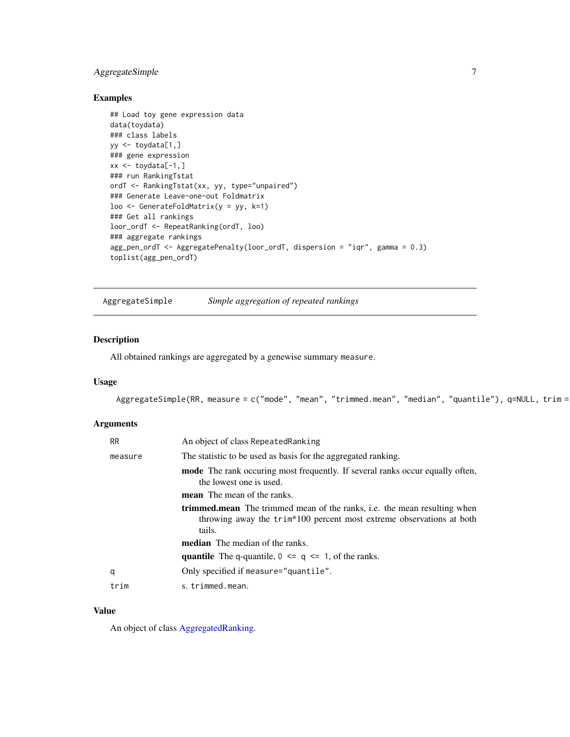# <span id="page-6-0"></span>AggregateSimple 7

# Examples

```
## Load toy gene expression data
data(toydata)
### class labels
yy <- toydata[1,]
### gene expression
xx \leftarrow \text{toydata}[-1, ]### run RankingTstat
ordT <- RankingTstat(xx, yy, type="unpaired")
### Generate Leave-one-out Foldmatrix
loo <- GenerateFoldMatrix(y = yy, k=1)
### Get all rankings
loor_ordT <- RepeatRanking(ordT, loo)
### aggregate rankings
agg_pen_ordT <- AggregatePenalty(loor_ordT, dispersion = "iqr", gamma = 0.3)
toplist(agg_pen_ordT)
```
<span id="page-6-1"></span>AggregateSimple *Simple aggregation of repeated rankings*

# Description

All obtained rankings are aggregated by a genewise summary measure.

# Usage

AggregateSimple(RR, measure = c("mode", "mean", "trimmed.mean", "median", "quantile"), q=NULL, trim =

## Arguments

| <b>RR</b> | An object of class RepeatedRanking                                                                                                                                |
|-----------|-------------------------------------------------------------------------------------------------------------------------------------------------------------------|
| measure   | The statistic to be used as basis for the aggregated ranking.                                                                                                     |
|           | mode The rank occuring most frequently. If several ranks occur equally often,<br>the lowest one is used.                                                          |
|           | <b>mean</b> The mean of the ranks.                                                                                                                                |
|           | <b>trimmed.mean</b> The trimmed mean of the ranks, i.e. the mean resulting when<br>throwing away the trim*100 percent most extreme observations at both<br>tails. |
|           | <b>median</b> The median of the ranks.                                                                                                                            |
|           | <b>quantile</b> The q-quantile, $0 \leq q \leq 1$ , of the ranks.                                                                                                 |
| q         | Only specified if measure="quantile".                                                                                                                             |
| trim      | s. trimmed.mean.                                                                                                                                                  |

## Value

An object of class [AggregatedRanking.](#page-3-2)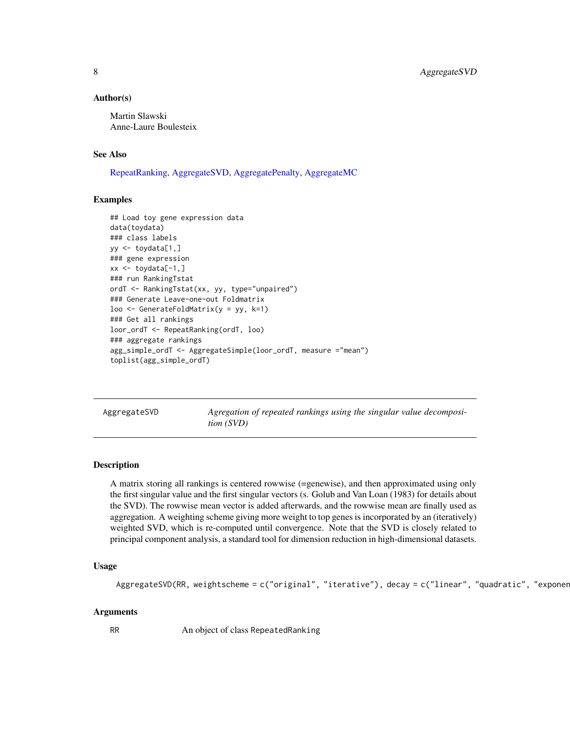## <span id="page-7-0"></span>Author(s)

Martin Slawski Anne-Laure Boulesteix

#### See Also

[RepeatRanking,](#page-46-1) [AggregateSVD,](#page-7-1) [AggregatePenalty,](#page-5-1) [AggregateMC](#page-3-1)

## Examples

```
## Load toy gene expression data
data(toydata)
### class labels
yy \le -\text{toydata}[1,]### gene expression
xx \le toydata[-1,]
### run RankingTstat
ordT <- RankingTstat(xx, yy, type="unpaired")
### Generate Leave-one-out Foldmatrix
loo \leq GenerateFoldMatrix(y = yy, k=1)
### Get all rankings
loor_ordT <- RepeatRanking(ordT, loo)
### aggregate rankings
agg_simple_ordT <- AggregateSimple(loor_ordT, measure ="mean")
toplist(agg_simple_ordT)
```
<span id="page-7-1"></span>AggregateSVD *Agregation of repeated rankings using the singular value decomposition (SVD)*

#### Description

A matrix storing all rankings is centered rowwise (=genewise), and then approximated using only the first singular value and the first singular vectors (s. Golub and Van Loan (1983) for details about the SVD). The rowwise mean vector is added afterwards, and the rowwise mean are finally used as aggregation. A weighting scheme giving more weight to top genes is incorporated by an (iteratively) weighted SVD, which is re-computed until convergence. Note that the SVD is closely related to principal component analysis, a standard tool for dimension reduction in high-dimensional datasets.

#### Usage

```
AggregateSVD(RR, weightscheme = c("original", "iterative"), decay = c("linear", "quadratic", "exponer
```
## Arguments

RR An object of class RepeatedRanking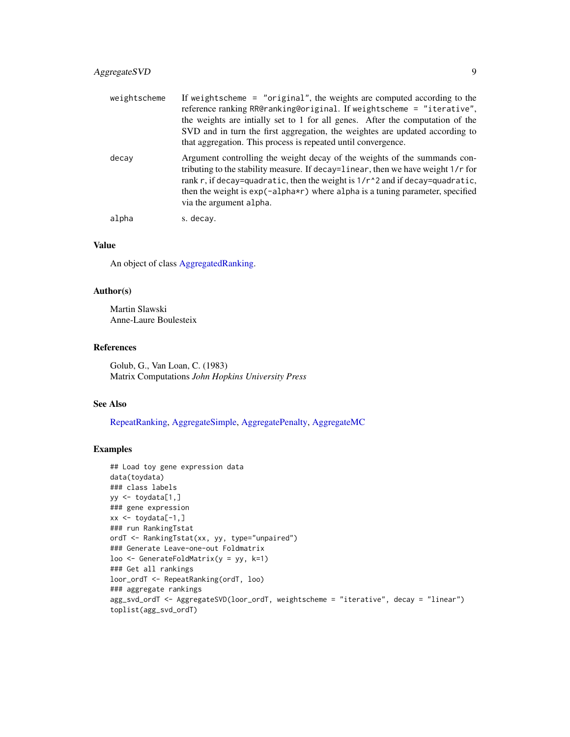| weightscheme | If weights cheme $=$ "original", the weights are computed according to the<br>reference ranking RR@ranking@original. If weightscheme = "iterative",<br>the weights are intially set to 1 for all genes. After the computation of the<br>SVD and in turn the first aggregation, the weightes are updated according to<br>that aggregation. This process is repeated until convergence. |
|--------------|---------------------------------------------------------------------------------------------------------------------------------------------------------------------------------------------------------------------------------------------------------------------------------------------------------------------------------------------------------------------------------------|
| decay        | Argument controlling the weight decay of the weights of the summands con-<br>tributing to the stability measure. If decay=linear, then we have weight 1/r for<br>rank r, if decay=quadratic, then the weight is 1/r^2 and if decay=quadratic,<br>then the weight is $exp(-aIpha*r)$ where alpha is a tuning parameter, specified<br>via the argument alpha.                           |
| alpha        | s. decay.                                                                                                                                                                                                                                                                                                                                                                             |

# Value

An object of class [AggregatedRanking.](#page-3-2)

## Author(s)

Martin Slawski Anne-Laure Boulesteix

## References

Golub, G., Van Loan, C. (1983) Matrix Computations *John Hopkins University Press*

# See Also

[RepeatRanking,](#page-46-1) [AggregateSimple,](#page-6-1) [AggregatePenalty,](#page-5-1) [AggregateMC](#page-3-1)

## Examples

```
## Load toy gene expression data
data(toydata)
### class labels
yy <- toydata[1,]
### gene expression
xx \le -\text{toydata}[-1, ]### run RankingTstat
ordT <- RankingTstat(xx, yy, type="unpaired")
### Generate Leave-one-out Foldmatrix
loo \leq GenerateFoldMatrix(y = yy, k=1)
### Get all rankings
loor_ordT <- RepeatRanking(ordT, loo)
### aggregate rankings
agg_svd_ordT <- AggregateSVD(loor_ordT, weightscheme = "iterative", decay = "linear")
toplist(agg_svd_ordT)
```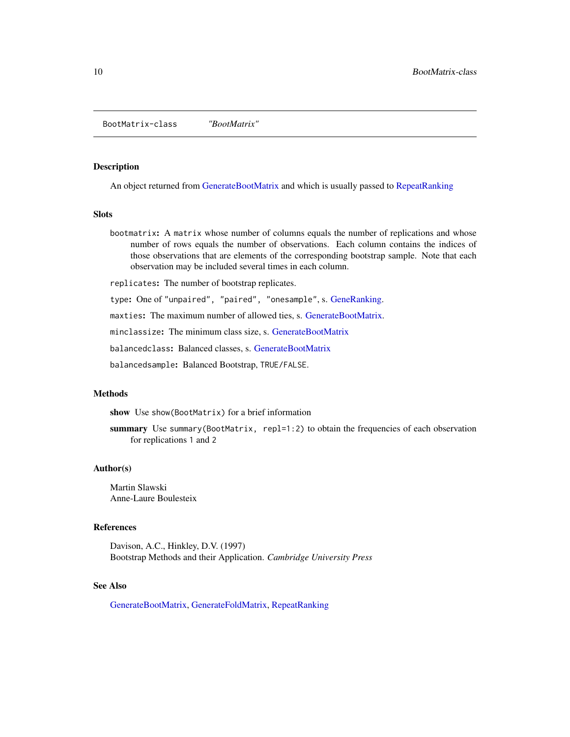<span id="page-9-0"></span>BootMatrix-class *"BootMatrix"*

#### <span id="page-9-1"></span>**Description**

An object returned from [GenerateBootMatrix](#page-13-1) and which is usually passed to [RepeatRanking](#page-46-1)

# Slots

bootmatrix: A matrix whose number of columns equals the number of replications and whose number of rows equals the number of observations. Each column contains the indices of those observations that are elements of the corresponding bootstrap sample. Note that each observation may be included several times in each column.

replicates: The number of bootstrap replicates.

type: One of "unpaired", "paired", "onesample", s. [GeneRanking.](#page-12-1)

maxties: The maximum number of allowed ties, s. [GenerateBootMatrix.](#page-13-1)

minclassize: The minimum class size, s. [GenerateBootMatrix](#page-13-1)

balancedclass: Balanced classes, s. [GenerateBootMatrix](#page-13-1)

balancedsample: Balanced Bootstrap, TRUE/FALSE.

# Methods

show Use show(BootMatrix) for a brief information

summary Use summary (BootMatrix, repl=1:2) to obtain the frequencies of each observation for replications 1 and 2

## Author(s)

Martin Slawski Anne-Laure Boulesteix

## References

Davison, A.C., Hinkley, D.V. (1997) Bootstrap Methods and their Application. *Cambridge University Press*

#### See Also

[GenerateBootMatrix,](#page-13-1) [GenerateFoldMatrix,](#page-14-1) [RepeatRanking](#page-46-1)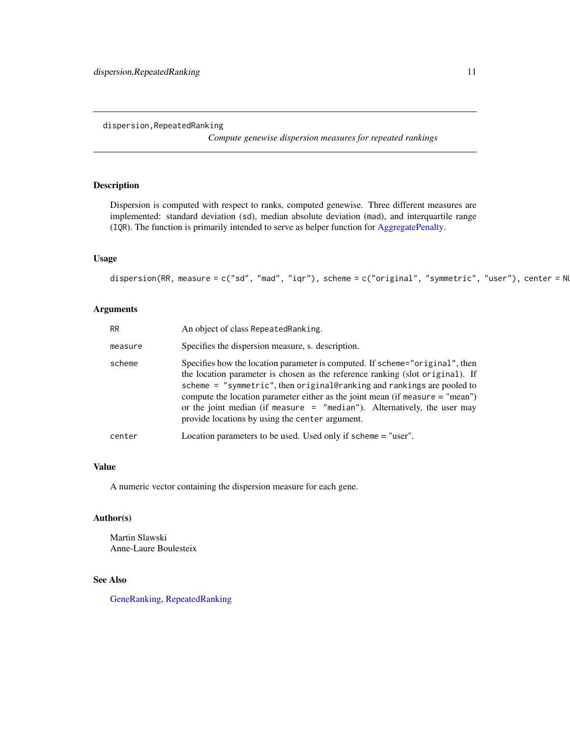<span id="page-10-0"></span>dispersion,RepeatedRanking

*Compute genewise dispersion measures for repeated rankings*

# <span id="page-10-1"></span>Description

Dispersion is computed with respect to ranks, computed genewise. Three different measures are implemented: standard deviation (sd), median absolute deviation (mad), and interquartile range (IQR). The function is primarily intended to serve as helper function for [AggregatePenalty.](#page-5-1)

# Usage

dispersion(RR, measure = c("sd", "mad", "iqr"), scheme = c("original", "symmetric", "user"), center = NU

#### Arguments

| <b>RR</b> | An object of class RepeatedRanking.                                                                                                                                                                                                                                                                                                                                                                                                                         |
|-----------|-------------------------------------------------------------------------------------------------------------------------------------------------------------------------------------------------------------------------------------------------------------------------------------------------------------------------------------------------------------------------------------------------------------------------------------------------------------|
| measure   | Specifies the dispersion measure, s. description.                                                                                                                                                                                                                                                                                                                                                                                                           |
| scheme    | Specifies how the location parameter is computed. If scheme="original", then<br>the location parameter is chosen as the reference ranking (slot original). If<br>scheme = "symmetric", then original@ranking and rankings are pooled to<br>compute the location parameter either as the joint mean (if measure $=$ "mean")<br>or the joint median (if measure $=$ "median"). Alternatively, the user may<br>provide locations by using the center argument. |
| center    | Location parameters to be used. Used only if scheme = "user".                                                                                                                                                                                                                                                                                                                                                                                               |

## Value

A numeric vector containing the dispersion measure for each gene.

# Author(s)

Martin Slawski Anne-Laure Boulesteix

## See Also

[GeneRanking,](#page-12-1) [RepeatedRanking](#page-45-1)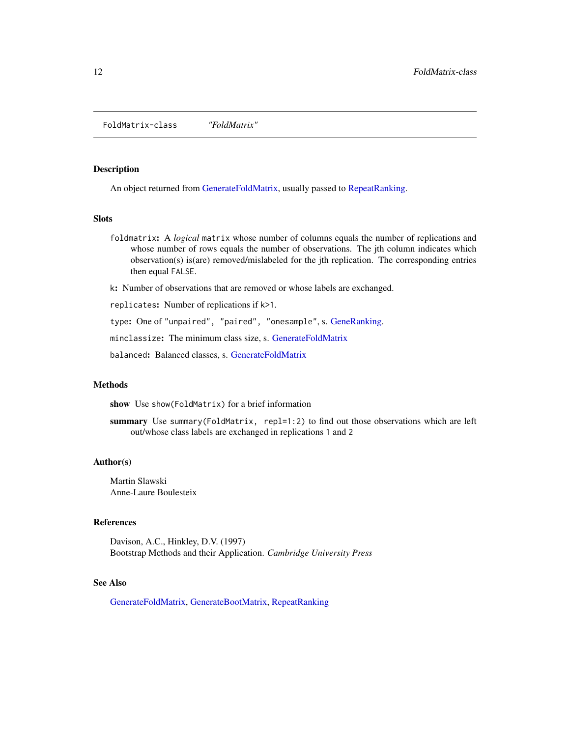<span id="page-11-0"></span>FoldMatrix-class *"FoldMatrix"*

## <span id="page-11-1"></span>Description

An object returned from [GenerateFoldMatrix,](#page-14-1) usually passed to [RepeatRanking.](#page-46-1)

#### Slots

foldmatrix: A *logical* matrix whose number of columns equals the number of replications and whose number of rows equals the number of observations. The jth column indicates which observation(s) is(are) removed/mislabeled for the jth replication. The corresponding entries then equal FALSE.

k: Number of observations that are removed or whose labels are exchanged.

replicates: Number of replications if k>1.

type: One of "unpaired", "paired", "onesample", s. [GeneRanking.](#page-12-1)

minclassize: The minimum class size, s. [GenerateFoldMatrix](#page-14-1)

balanced: Balanced classes, s. [GenerateFoldMatrix](#page-14-1)

#### Methods

show Use show(FoldMatrix) for a brief information

summary Use summary (FoldMatrix, repl=1:2) to find out those observations which are left out/whose class labels are exchanged in replications 1 and 2

#### Author(s)

Martin Slawski Anne-Laure Boulesteix

#### References

Davison, A.C., Hinkley, D.V. (1997) Bootstrap Methods and their Application. *Cambridge University Press*

## See Also

[GenerateFoldMatrix,](#page-14-1) [GenerateBootMatrix,](#page-13-1) [RepeatRanking](#page-46-1)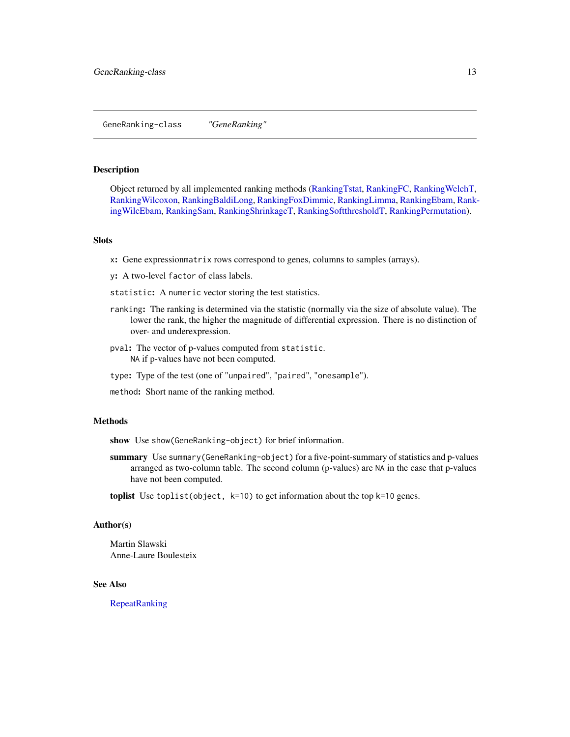#### <span id="page-12-2"></span><span id="page-12-0"></span>GeneRanking-class *"GeneRanking"*

#### <span id="page-12-1"></span>Description

Object returned by all implemented ranking methods [\(RankingTstat,](#page-40-1) [RankingFC,](#page-30-1) [RankingWelchT,](#page-41-1) [RankingWilcoxon,](#page-44-1) [RankingBaldiLong,](#page-26-1) [RankingFoxDimmic,](#page-31-1) [RankingLimma,](#page-32-1) [RankingEbam,](#page-28-1) [Rank](#page-42-1)[ingWilcEbam,](#page-42-1) [RankingSam,](#page-35-1) [RankingShrinkageT,](#page-37-1) [RankingSoftthresholdT,](#page-38-1) [RankingPermutation\)](#page-34-1).

#### Slots

x: Gene expressionmatrix rows correspond to genes, columns to samples (arrays).

y: A two-level factor of class labels.

- statistic: A numeric vector storing the test statistics.
- ranking: The ranking is determined via the statistic (normally via the size of absolute value). The lower the rank, the higher the magnitude of differential expression. There is no distinction of over- and underexpression.
- pval: The vector of p-values computed from statistic. NA if p-values have not been computed.
- type: Type of the test (one of "unpaired", "paired", "onesample").
- method: Short name of the ranking method.

## Methods

show Use show(GeneRanking-object) for brief information.

summary Use summary (GeneRanking-object) for a five-point-summary of statistics and p-values arranged as two-column table. The second column (p-values) are NA in the case that p-values have not been computed.

toplist Use toplist(object, k=10) to get information about the top k=10 genes.

#### Author(s)

Martin Slawski Anne-Laure Boulesteix

#### See Also

[RepeatRanking](#page-46-1)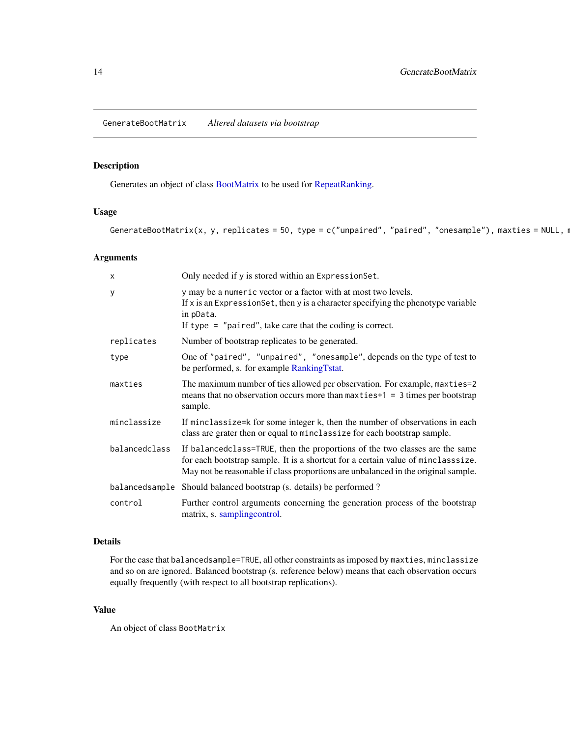<span id="page-13-1"></span><span id="page-13-0"></span>GenerateBootMatrix *Altered datasets via bootstrap*

# Description

Generates an object of class [BootMatrix](#page-9-1) to be used for [RepeatRanking.](#page-46-1)

# Usage

GenerateBootMatrix(x, y, replicates = 50, type = c("unpaired", "paired", "onesample"), maxties = NULL, r

# Arguments

| X              | Only needed if y is stored within an Expression Set.                                                                                                                                                                                                 |
|----------------|------------------------------------------------------------------------------------------------------------------------------------------------------------------------------------------------------------------------------------------------------|
| У              | y may be a numeric vector or a factor with at most two levels.<br>If x is an Expression Set, then y is a character specifying the phenotype variable<br>in pData.<br>If type $=$ "paired", take care that the coding is correct.                     |
| replicates     | Number of bootstrap replicates to be generated.                                                                                                                                                                                                      |
| type           | One of "paired", "unpaired", "onesample", depends on the type of test to<br>be performed, s. for example RankingTstat.                                                                                                                               |
| maxties        | The maximum number of ties allowed per observation. For example, maxties=2<br>means that no observation occurs more than $maxties+1 = 3$ times per bootstrap<br>sample.                                                                              |
| minclassize    | If minclassize=k for some integer k, then the number of observations in each<br>class are grater then or equal to minclassize for each bootstrap sample.                                                                                             |
| balancedclass  | If balancedclass=TRUE, then the proportions of the two classes are the same<br>for each bootstrap sample. It is a shortcut for a certain value of minclasssize.<br>May not be reasonable if class proportions are unbalanced in the original sample. |
| balancedsample | Should balanced bootstrap (s. details) be performed?                                                                                                                                                                                                 |
| control        | Further control arguments concerning the generation process of the bootstrap<br>matrix, s. samplingcontrol.                                                                                                                                          |

# Details

For the case that balancedsample=TRUE, all other constraints as imposed by maxties, minclassize and so on are ignored. Balanced bootstrap (s. reference below) means that each observation occurs equally frequently (with respect to all bootstrap replications).

# Value

An object of class BootMatrix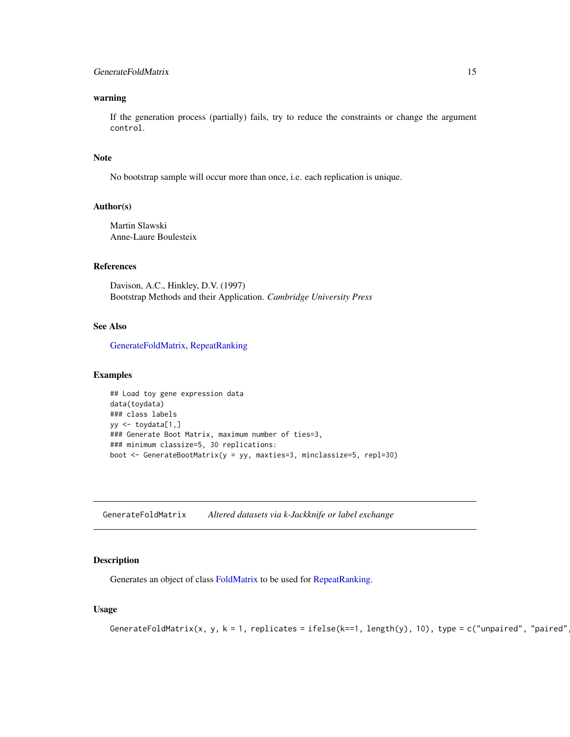# <span id="page-14-0"></span>GenerateFoldMatrix 15

## warning

If the generation process (partially) fails, try to reduce the constraints or change the argument control.

#### **Note**

No bootstrap sample will occur more than once, i.e. each replication is unique.

#### Author(s)

Martin Slawski Anne-Laure Boulesteix

# References

Davison, A.C., Hinkley, D.V. (1997) Bootstrap Methods and their Application. *Cambridge University Press*

## See Also

[GenerateFoldMatrix,](#page-14-1) [RepeatRanking](#page-46-1)

#### Examples

```
## Load toy gene expression data
data(toydata)
### class labels
yy <- toydata[1,]
### Generate Boot Matrix, maximum number of ties=3,
### minimum classize=5, 30 replications:
boot <- GenerateBootMatrix(y = yy, maxties=3, minclassize=5, repl=30)
```
<span id="page-14-1"></span>GenerateFoldMatrix *Altered datasets via k-Jackknife or label exchange*

#### Description

Generates an object of class [FoldMatrix](#page-11-1) to be used for [RepeatRanking.](#page-46-1)

#### Usage

```
GenerateFoldMatrix(x, y, k = 1, replicates = ifelse(k==1, length(y), 10), type = c("unpaired", "paired"
```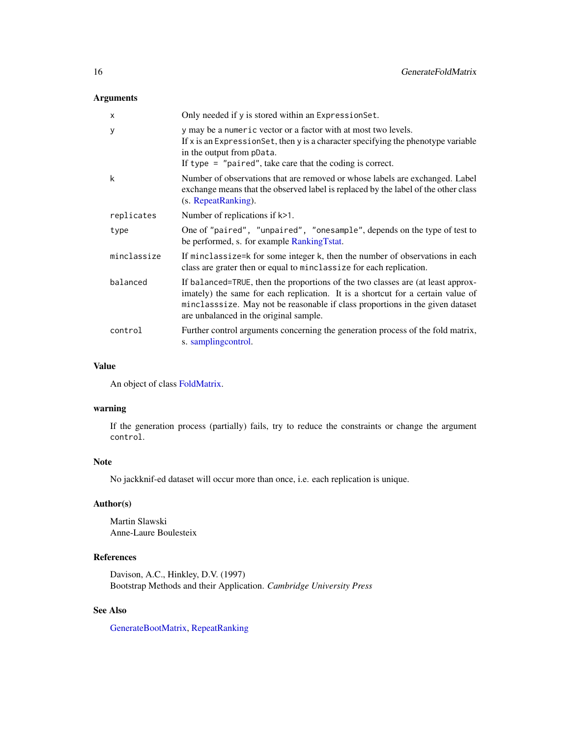# Arguments

| $\boldsymbol{\mathsf{x}}$ | Only needed if y is stored within an Expression Set.                                                                                                                                                                                                                                          |
|---------------------------|-----------------------------------------------------------------------------------------------------------------------------------------------------------------------------------------------------------------------------------------------------------------------------------------------|
| У                         | y may be a numeric vector or a factor with at most two levels.<br>If x is an Expression Set, then y is a character specifying the phenotype variable<br>in the output from pData.<br>If type $=$ "paired", take care that the coding is correct.                                              |
| k                         | Number of observations that are removed or whose labels are exchanged. Label<br>exchange means that the observed label is replaced by the label of the other class<br>(s. RepeatRanking).                                                                                                     |
| replicates                | Number of replications if k>1.                                                                                                                                                                                                                                                                |
| type                      | One of "paired", "unpaired", "onesample", depends on the type of test to<br>be performed, s. for example RankingTstat.                                                                                                                                                                        |
| minclassize               | If minclassize=k for some integer k, then the number of observations in each<br>class are grater then or equal to minclassize for each replication.                                                                                                                                           |
| balanced                  | If balanced=TRUE, then the proportions of the two classes are (at least approx-<br>imately) the same for each replication. It is a shortcut for a certain value of<br>minclasssize. May not be reasonable if class proportions in the given dataset<br>are unbalanced in the original sample. |
| control                   | Further control arguments concerning the generation process of the fold matrix,<br>s. samplingcontrol.                                                                                                                                                                                        |

#### Value

An object of class [FoldMatrix.](#page-11-1)

# warning

If the generation process (partially) fails, try to reduce the constraints or change the argument control.

# Note

No jackknif-ed dataset will occur more than once, i.e. each replication is unique.

# Author(s)

Martin Slawski Anne-Laure Boulesteix

# References

Davison, A.C., Hinkley, D.V. (1997) Bootstrap Methods and their Application. *Cambridge University Press*

# See Also

[GenerateBootMatrix,](#page-13-1) [RepeatRanking](#page-46-1)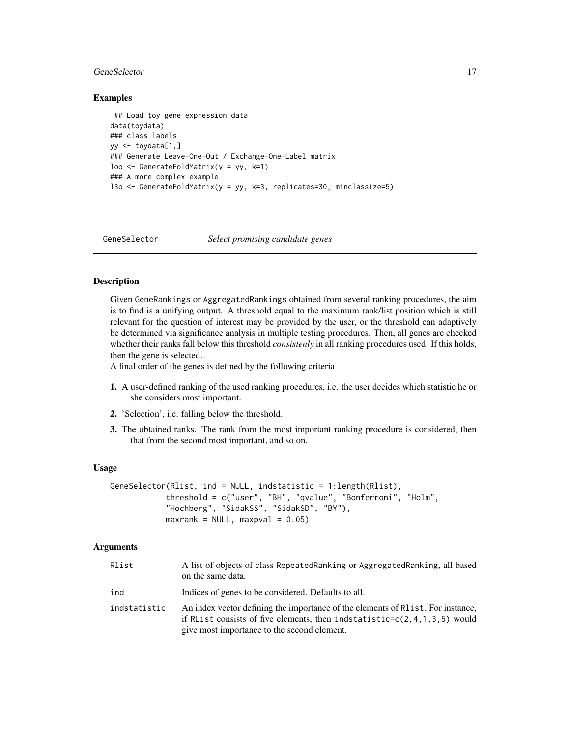#### <span id="page-16-0"></span>GeneSelector 17

#### Examples

```
## Load toy gene expression data
data(toydata)
### class labels
yy \leftarrow toydata[1,]### Generate Leave-One-Out / Exchange-One-Label matrix
loo \leq GenerateFoldMatrix(y = yy, k=1)
### A more complex example
l3o <- GenerateFoldMatrix(y = yy, k=3, replicates=30, minclassize=5)
```
<span id="page-16-1"></span>GeneSelector *Select promising candidate genes*

# Description

Given GeneRankings or AggregatedRankings obtained from several ranking procedures, the aim is to find is a unifying output. A threshold equal to the maximum rank/list position which is still relevant for the question of interest may be provided by the user, or the threshold can adaptively be determined via significance analysis in multiple testing procedures. Then, all genes are checked whether their ranks fall below this threshold *consistenly* in all ranking procedures used. If this holds, then the gene is selected.

A final order of the genes is defined by the following criteria

- 1. A user-defined ranking of the used ranking procedures, i.e. the user decides which statistic he or she considers most important.
- 2. 'Selection', i.e. falling below the threshold.
- 3. The obtained ranks. The rank from the most important ranking procedure is considered, then that from the second most important, and so on.

#### Usage

```
GeneSelector(Rlist, ind = NULL, indstatistic = 1:length(Rlist),
            threshold = c("user", "BH", "qvalue", "Bonferroni", "Holm",
            "Hochberg", "SidakSS", "SidakSD", "BY"),
            maxrank = NULL, maxpval = 0.05)
```
#### Arguments

| Rlist        | A list of objects of class RepeatedRanking or AggregatedRanking, all based<br>on the same data.                                                                                                                |
|--------------|----------------------------------------------------------------------------------------------------------------------------------------------------------------------------------------------------------------|
| ind          | Indices of genes to be considered. Defaults to all.                                                                                                                                                            |
| indstatistic | An index vector defining the importance of the elements of R1 ist. For instance,<br>if RList consists of five elements, then indstatistic= $c(2,4,1,3,5)$ would<br>give most importance to the second element. |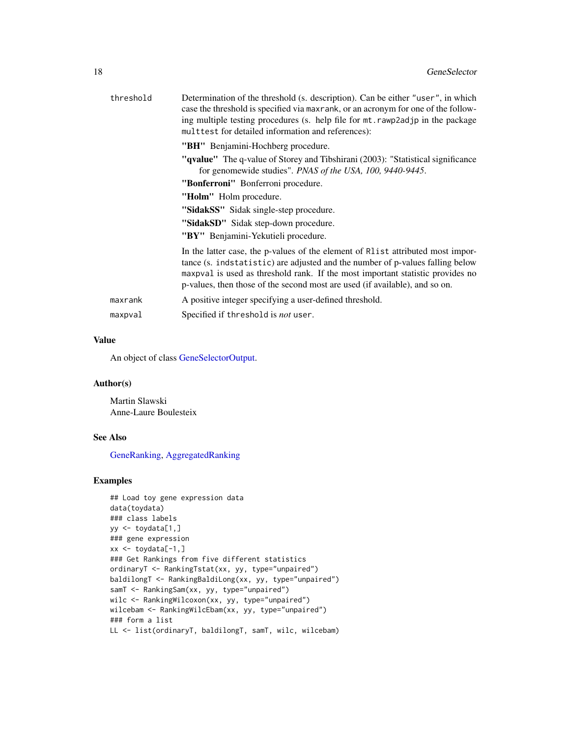| threshold | Determination of the threshold (s. description). Can be either "user", in which<br>case the threshold is specified via maxrank, or an acronym for one of the follow-<br>ing multiple testing procedures (s. help file for mt. rawp2adjp in the package<br>multtest for detailed information and references):                       |
|-----------|------------------------------------------------------------------------------------------------------------------------------------------------------------------------------------------------------------------------------------------------------------------------------------------------------------------------------------|
|           | "BH" Benjamini-Hochberg procedure.                                                                                                                                                                                                                                                                                                 |
|           | " <b>qvalue</b> " The q-value of Storey and Tibshirani (2003): "Statistical significance"<br>for genomewide studies". PNAS of the USA, 100, 9440-9445.                                                                                                                                                                             |
|           | "Bonferroni" Bonferroni procedure.                                                                                                                                                                                                                                                                                                 |
|           | "Holm" Holm procedure.                                                                                                                                                                                                                                                                                                             |
|           | "SidakSS" Sidak single-step procedure.                                                                                                                                                                                                                                                                                             |
|           | "SidakSD" Sidak step-down procedure.                                                                                                                                                                                                                                                                                               |
|           | "BY" Benjamini-Yekutieli procedure.                                                                                                                                                                                                                                                                                                |
|           | In the latter case, the p-values of the element of R1 is tattributed most impor-<br>tance (s. indstatistic) are adjusted and the number of p-values falling below<br>maxpval is used as threshold rank. If the most important statistic provides no<br>p-values, then those of the second most are used (if available), and so on. |
| maxrank   | A positive integer specifying a user-defined threshold.                                                                                                                                                                                                                                                                            |
| maxpval   | Specified if threshold is <i>not</i> user.                                                                                                                                                                                                                                                                                         |
|           |                                                                                                                                                                                                                                                                                                                                    |

# Value

An object of class [GeneSelectorOutput.](#page-18-1)

# Author(s)

Martin Slawski Anne-Laure Boulesteix

# See Also

[GeneRanking,](#page-12-1) [AggregatedRanking](#page-3-2)

## Examples

```
## Load toy gene expression data
data(toydata)
### class labels
yy <- toydata[1,]
### gene expression
xx \leftarrow \text{toydata}[-1, ]### Get Rankings from five different statistics
ordinaryT <- RankingTstat(xx, yy, type="unpaired")
baldilongT <- RankingBaldiLong(xx, yy, type="unpaired")
samT <- RankingSam(xx, yy, type="unpaired")
wilc <- RankingWilcoxon(xx, yy, type="unpaired")
wilcebam <- RankingWilcEbam(xx, yy, type="unpaired")
### form a list
LL <- list(ordinaryT, baldilongT, samT, wilc, wilcebam)
```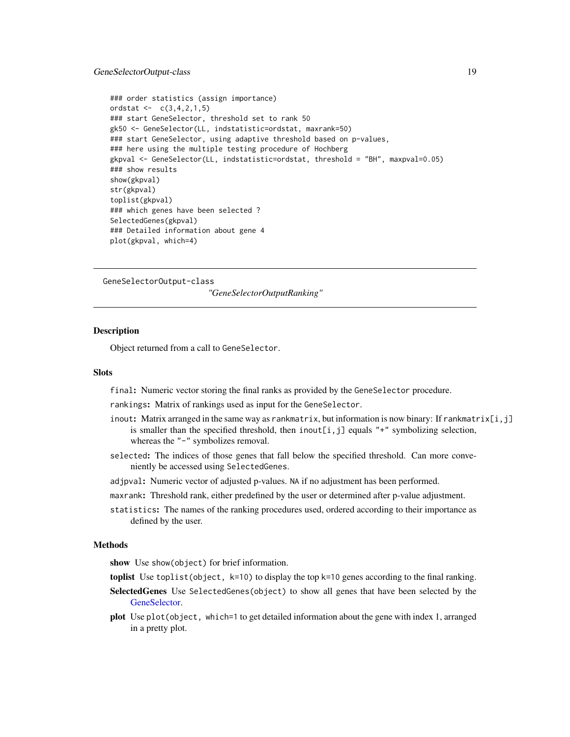## <span id="page-18-0"></span>GeneSelectorOutput-class 19

```
### order statistics (assign importance)
ordstat <- c(3, 4, 2, 1, 5)### start GeneSelector, threshold set to rank 50
gk50 <- GeneSelector(LL, indstatistic=ordstat, maxrank=50)
### start GeneSelector, using adaptive threshold based on p-values,
### here using the multiple testing procedure of Hochberg
gkpval <- GeneSelector(LL, indstatistic=ordstat, threshold = "BH", maxpval=0.05)
### show results
show(gkpval)
str(gkpval)
toplist(gkpval)
### which genes have been selected ?
SelectedGenes(gkpval)
### Detailed information about gene 4
plot(gkpval, which=4)
```
<span id="page-18-2"></span>GeneSelectorOutput-class

*"GeneSelectorOutputRanking"*

### <span id="page-18-1"></span>**Description**

Object returned from a call to GeneSelector.

#### **Slots**

final: Numeric vector storing the final ranks as provided by the GeneSelector procedure.

rankings: Matrix of rankings used as input for the GeneSelector.

- inout: Matrix arranged in the same way as rankmatrix, but information is now binary: If rankmatrix $[i, j]$ is smaller than the specified threshold, then inout[i,j] equals " $+$ " symbolizing selection, whereas the "-" symbolizes removal.
- selected: The indices of those genes that fall below the specified threshold. Can more conveniently be accessed using SelectedGenes.
- adjpval: Numeric vector of adjusted p-values. NA if no adjustment has been performed.
- maxrank: Threshold rank, either predefined by the user or determined after p-value adjustment.
- statistics: The names of the ranking procedures used, ordered according to their importance as defined by the user.

## Methods

show Use show(object) for brief information.

- toplist Use toplist(object,  $k=10$ ) to display the top  $k=10$  genes according to the final ranking.
- SelectedGenes Use SelectedGenes(object) to show all genes that have been selected by the [GeneSelector.](#page-16-1)
- plot Use plot(object, which=1 to get detailed information about the gene with index 1, arranged in a pretty plot.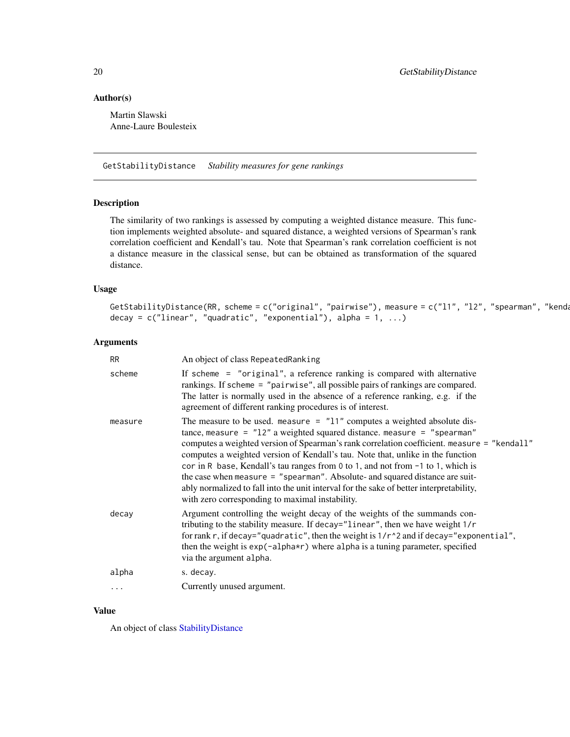## Author(s)

Martin Slawski Anne-Laure Boulesteix

<span id="page-19-1"></span>GetStabilityDistance *Stability measures for gene rankings*

# Description

The similarity of two rankings is assessed by computing a weighted distance measure. This function implements weighted absolute- and squared distance, a weighted versions of Spearman's rank correlation coefficient and Kendall's tau. Note that Spearman's rank correlation coefficient is not a distance measure in the classical sense, but can be obtained as transformation of the squared distance.

#### Usage

```
GetStabilityDistance(RR, scheme = c("original", "pairwise"), measure = c("11", "12", "spearman", "kenda
decay = c("linear", "quadratic", "exponential"), alpha = 1, ...)
```
# Arguments

| RR.       | An object of class Repeated Ranking                                                                                                                                                                                                                                                                                                                                                                                                                                                                                                                                                                                                                        |
|-----------|------------------------------------------------------------------------------------------------------------------------------------------------------------------------------------------------------------------------------------------------------------------------------------------------------------------------------------------------------------------------------------------------------------------------------------------------------------------------------------------------------------------------------------------------------------------------------------------------------------------------------------------------------------|
| scheme    | If scheme = "original", a reference ranking is compared with alternative<br>rankings. If scheme = "pairwise", all possible pairs of rankings are compared.<br>The latter is normally used in the absence of a reference ranking, e.g. if the<br>agreement of different ranking procedures is of interest.                                                                                                                                                                                                                                                                                                                                                  |
| measure   | The measure to be used. measure $=$ "11" computes a weighted absolute dis-<br>tance, measure = $"12"$ a weighted squared distance. measure = "spearman"<br>computes a weighted version of Spearman's rank correlation coefficient. measure = "kendall"<br>computes a weighted version of Kendall's tau. Note that, unlike in the function<br>cor in R base, Kendall's tau ranges from 0 to 1, and not from -1 to 1, which is<br>the case when measure = "spearman". Absolute- and squared distance are suit-<br>ably normalized to fall into the unit interval for the sake of better interpretability,<br>with zero corresponding to maximal instability. |
| decay     | Argument controlling the weight decay of the weights of the summands con-<br>tributing to the stability measure. If decay="linear", then we have weight 1/r<br>for rank r, if decay="quadratic", then the weight is $1/r \sim 2$ and if decay="exponential",<br>then the weight is exp(-alpha*r) where alpha is a tuning parameter, specified<br>via the argument alpha.                                                                                                                                                                                                                                                                                   |
| alpha     | s. decay.                                                                                                                                                                                                                                                                                                                                                                                                                                                                                                                                                                                                                                                  |
| $\ddotsc$ | Currently unused argument.                                                                                                                                                                                                                                                                                                                                                                                                                                                                                                                                                                                                                                 |
|           |                                                                                                                                                                                                                                                                                                                                                                                                                                                                                                                                                                                                                                                            |

## Value

An object of class [StabilityDistance](#page-48-2)

<span id="page-19-0"></span>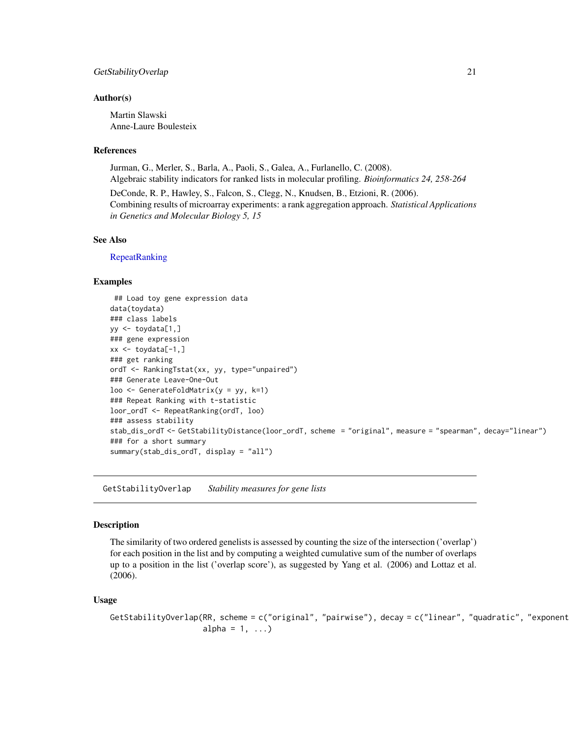#### <span id="page-20-0"></span>GetStabilityOverlap 21

#### Author(s)

Martin Slawski Anne-Laure Boulesteix

#### References

Jurman, G., Merler, S., Barla, A., Paoli, S., Galea, A., Furlanello, C. (2008). Algebraic stability indicators for ranked lists in molecular profiling. *Bioinformatics 24, 258-264*

DeConde, R. P., Hawley, S., Falcon, S., Clegg, N., Knudsen, B., Etzioni, R. (2006). Combining results of microarray experiments: a rank aggregation approach. *Statistical Applications in Genetics and Molecular Biology 5, 15*

#### See Also

**[RepeatRanking](#page-46-1)** 

# Examples

```
## Load toy gene expression data
data(toydata)
### class labels
yy \le -\text{toydata}[1,]### gene expression
xx \le -\text{toydata}[-1, ]### get ranking
ordT <- RankingTstat(xx, yy, type="unpaired")
### Generate Leave-One-Out
loo \leq GenerateFoldMatrix(y = yy, k=1)
### Repeat Ranking with t-statistic
loor_ordT <- RepeatRanking(ordT, loo)
### assess stability
stab_dis_ordT <- GetStabilityDistance(loor_ordT, scheme = "original", measure = "spearman", decay="linear")
### for a short summary
summary(stab_dis_ordT, display = "all")
```
<span id="page-20-1"></span>GetStabilityOverlap *Stability measures for gene lists*

#### Description

The similarity of two ordered genelists is assessed by counting the size of the intersection ('overlap') for each position in the list and by computing a weighted cumulative sum of the number of overlaps up to a position in the list ('overlap score'), as suggested by Yang et al. (2006) and Lottaz et al. (2006).

## Usage

```
GetStabilityOverlap(RR, scheme = c("original", "pairwise"), decay = c("linear", "quadratic", "exponent
                    alpha = 1, ...)
```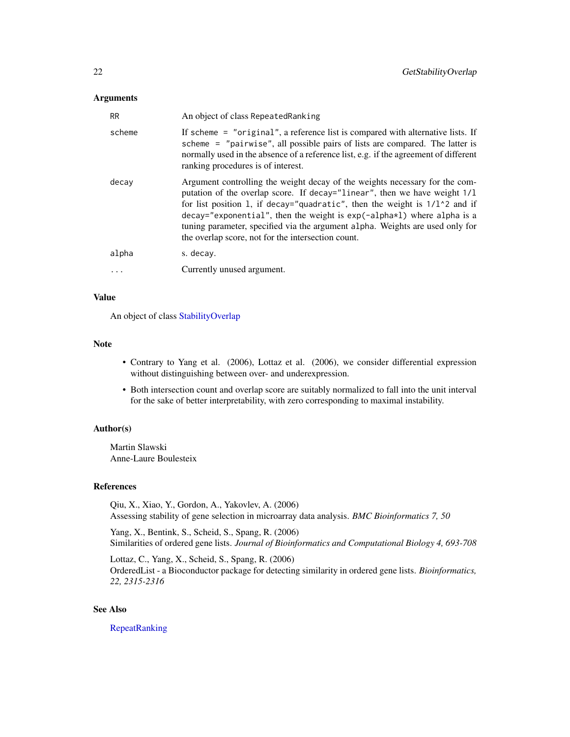## **Arguments**

| <b>RR</b> | An object of class Repeated Ranking                                                                                                                                                                                                                                                                                                                                                                                                                                        |
|-----------|----------------------------------------------------------------------------------------------------------------------------------------------------------------------------------------------------------------------------------------------------------------------------------------------------------------------------------------------------------------------------------------------------------------------------------------------------------------------------|
| scheme    | If scheme $=$ "original", a reference list is compared with alternative lists. If<br>scheme = "pairwise", all possible pairs of lists are compared. The latter is<br>normally used in the absence of a reference list, e.g. if the agreement of different<br>ranking procedures is of interest.                                                                                                                                                                            |
| decay     | Argument controlling the weight decay of the weights necessary for the com-<br>putation of the overlap score. If decay="linear", then we have weight $1/1$<br>for list position 1, if decay="quadratic", then the weight is $1/1$ <sup>2</sup> and if<br>$decay="exponential", then the weight is exp(-alpha * 1) where alpha is a$<br>tuning parameter, specified via the argument alpha. Weights are used only for<br>the overlap score, not for the intersection count. |
| alpha     | s. decay.                                                                                                                                                                                                                                                                                                                                                                                                                                                                  |
|           | Currently unused argument.                                                                                                                                                                                                                                                                                                                                                                                                                                                 |

# Value

An object of class [StabilityOverlap](#page-49-1)

## Note

- Contrary to Yang et al. (2006), Lottaz et al. (2006), we consider differential expression without distinguishing between over- and underexpression.
- Both intersection count and overlap score are suitably normalized to fall into the unit interval for the sake of better interpretability, with zero corresponding to maximal instability.

# Author(s)

Martin Slawski Anne-Laure Boulesteix

## References

Qiu, X., Xiao, Y., Gordon, A., Yakovlev, A. (2006) Assessing stability of gene selection in microarray data analysis. *BMC Bioinformatics 7, 50*

Yang, X., Bentink, S., Scheid, S., Spang, R. (2006) Similarities of ordered gene lists. *Journal of Bioinformatics and Computational Biology 4, 693-708*

Lottaz, C., Yang, X., Scheid, S., Spang, R. (2006) OrderedList - a Bioconductor package for detecting similarity in ordered gene lists. *Bioinformatics, 22, 2315-2316*

# See Also

[RepeatRanking](#page-46-1)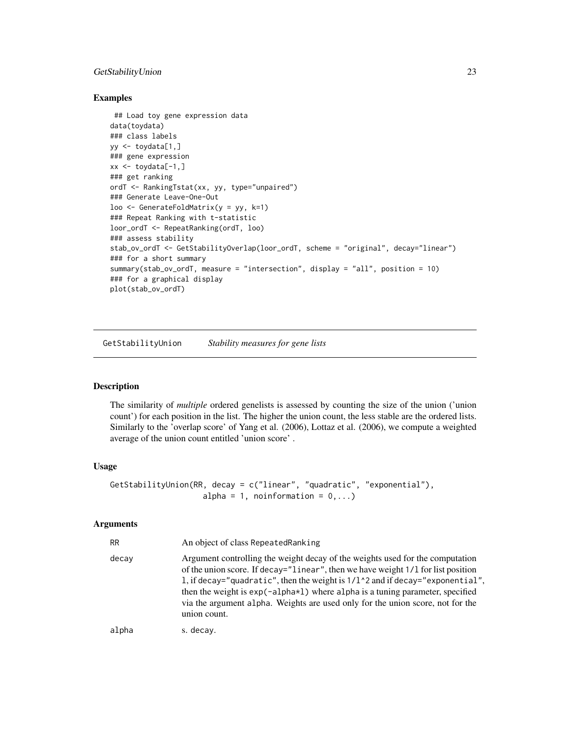# <span id="page-22-0"></span>GetStabilityUnion 23

#### Examples

```
## Load toy gene expression data
data(toydata)
### class labels
yy \leftarrow toydata[1,]### gene expression
xx \le -\text{toydata}[-1, ]### get ranking
ordT <- RankingTstat(xx, yy, type="unpaired")
### Generate Leave-One-Out
loo <- GenerateFoldMatrix(y = yy, k=1)
### Repeat Ranking with t-statistic
loor_ordT <- RepeatRanking(ordT, loo)
### assess stability
stab_ov_ordT <- GetStabilityOverlap(loor_ordT, scheme = "original", decay="linear")
### for a short summary
summary(stab_ov_ordT, measure = "intersection", display = "all", position = 10)
### for a graphical display
plot(stab_ov_ordT)
```
<span id="page-22-1"></span>GetStabilityUnion *Stability measures for gene lists*

#### Description

The similarity of *multiple* ordered genelists is assessed by counting the size of the union ('union count') for each position in the list. The higher the union count, the less stable are the ordered lists. Similarly to the 'overlap score' of Yang et al. (2006), Lottaz et al. (2006), we compute a weighted average of the union count entitled 'union score' .

#### Usage

```
GetStabilityUnion(RR, decay = c("linear", "quadratic", "exponential"),
                    alpha = 1, noinformation = 0, \ldots)
```
#### Arguments

| <b>RR</b> | An object of class Repeated Ranking                                                                                                                                                                                                                                                                                                                                                                                                                 |
|-----------|-----------------------------------------------------------------------------------------------------------------------------------------------------------------------------------------------------------------------------------------------------------------------------------------------------------------------------------------------------------------------------------------------------------------------------------------------------|
| decay     | Argument controlling the weight decay of the weights used for the computation<br>of the union score. If decay="linear", then we have weight 1/1 for list position<br>1, if decay="quadratic", then the weight is $1/1$ $\degree$ 2 and if decay="exponential",<br>then the weight is $exp(-a1pha*1)$ where alpha is a tuning parameter, specified<br>via the argument alpha. Weights are used only for the union score, not for the<br>union count. |
| alpha     | s. decay.                                                                                                                                                                                                                                                                                                                                                                                                                                           |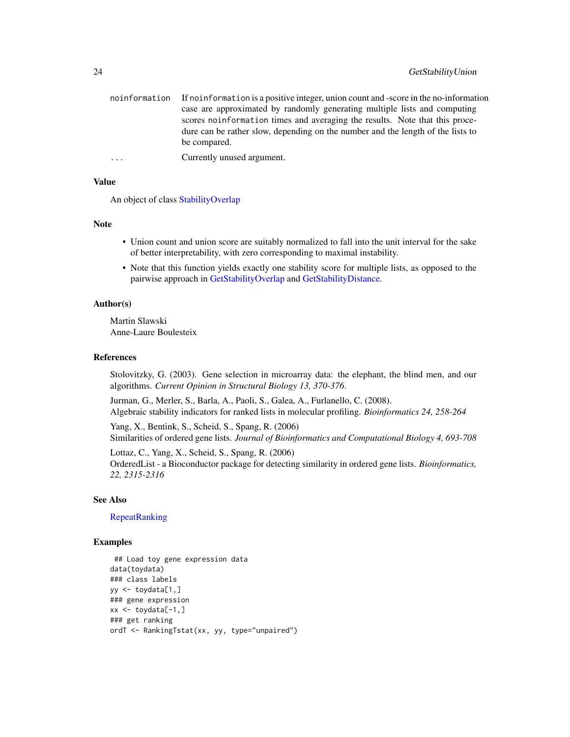| noinformation If noinformation is a positive integer, union count and -score in the no-information |
|----------------------------------------------------------------------------------------------------|
| case are approximated by randomly generating multiple lists and computing                          |
| scores noinformation times and averaging the results. Note that this proce-                        |
| dure can be rather slow, depending on the number and the length of the lists to                    |
| be compared.                                                                                       |
|                                                                                                    |

... Currently unused argument.

## Value

An object of class [StabilityOverlap](#page-49-1)

## Note

- Union count and union score are suitably normalized to fall into the unit interval for the sake of better interpretability, with zero corresponding to maximal instability.
- Note that this function yields exactly one stability score for multiple lists, as opposed to the pairwise approach in [GetStabilityOverlap](#page-20-1) and [GetStabilityDistance.](#page-19-1)

## Author(s)

Martin Slawski Anne-Laure Boulesteix

#### References

Stolovitzky, G. (2003). Gene selection in microarray data: the elephant, the blind men, and our algorithms. *Current Opinion in Structural Biology 13, 370-376*.

Jurman, G., Merler, S., Barla, A., Paoli, S., Galea, A., Furlanello, C. (2008). Algebraic stability indicators for ranked lists in molecular profiling. *Bioinformatics 24, 258-264*

Yang, X., Bentink, S., Scheid, S., Spang, R. (2006) Similarities of ordered gene lists. *Journal of Bioinformatics and Computational Biology 4, 693-708*

Lottaz, C., Yang, X., Scheid, S., Spang, R. (2006) OrderedList - a Bioconductor package for detecting similarity in ordered gene lists. *Bioinformatics, 22, 2315-2316*

## See Also

[RepeatRanking](#page-46-1)

## Examples

```
## Load toy gene expression data
data(toydata)
### class labels
yy <- toydata[1,]
### gene expression
xx \leftarrow \text{toydata}[-1, ]### get ranking
ordT <- RankingTstat(xx, yy, type="unpaired")
```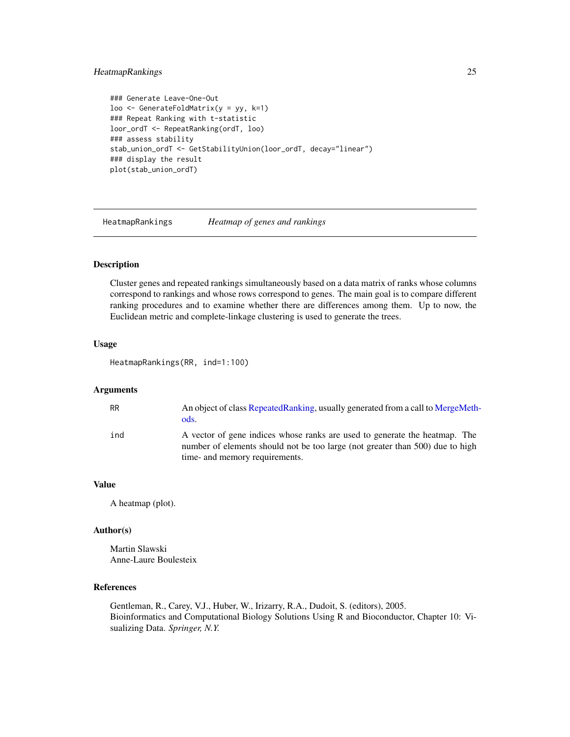# <span id="page-24-0"></span>HeatmapRankings 25

```
### Generate Leave-One-Out
loo <- GenerateFoldMatrix(y = yy, k=1)
### Repeat Ranking with t-statistic
loor_ordT <- RepeatRanking(ordT, loo)
### assess stability
stab_union_ordT <- GetStabilityUnion(loor_ordT, decay="linear")
### display the result
plot(stab_union_ordT)
```
<span id="page-24-1"></span>HeatmapRankings *Heatmap of genes and rankings*

#### Description

Cluster genes and repeated rankings simultaneously based on a data matrix of ranks whose columns correspond to rankings and whose rows correspond to genes. The main goal is to compare different ranking procedures and to examine whether there are differences among them. Up to now, the Euclidean metric and complete-linkage clustering is used to generate the trees.

# Usage

HeatmapRankings(RR, ind=1:100)

#### Arguments

| <b>RR</b> | An object of class RepeatedRanking, usually generated from a call to MergeMeth-<br>ods.                                                                                                       |
|-----------|-----------------------------------------------------------------------------------------------------------------------------------------------------------------------------------------------|
| ind       | A vector of gene indices whose ranks are used to generate the heatmap. The<br>number of elements should not be too large (not greater than 500) due to high<br>time- and memory requirements. |

#### Value

A heatmap (plot).

#### Author(s)

Martin Slawski Anne-Laure Boulesteix

#### References

Gentleman, R., Carey, V.J., Huber, W., Irizarry, R.A., Dudoit, S. (editors), 2005. Bioinformatics and Computational Biology Solutions Using R and Bioconductor, Chapter 10: Visualizing Data. *Springer, N.Y.*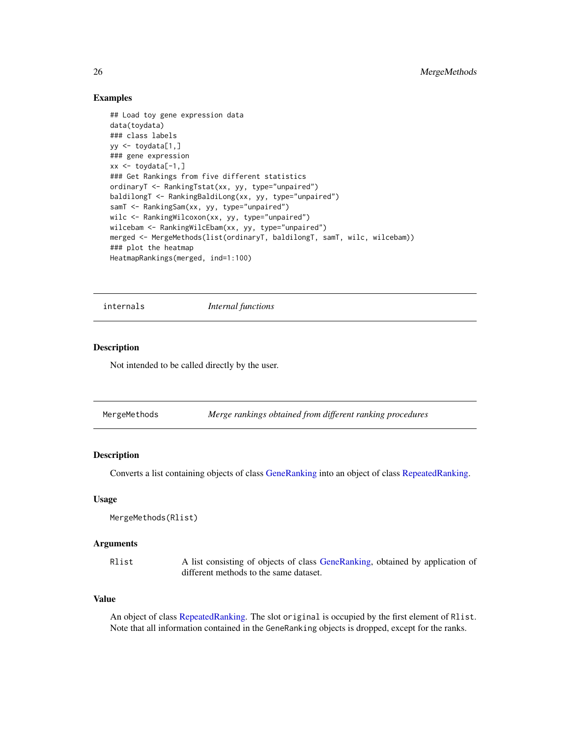## Examples

```
## Load toy gene expression data
data(toydata)
### class labels
yy <- toydata[1,]
### gene expression
xx \le -\text{toydata}[-1,1]### Get Rankings from five different statistics
ordinaryT <- RankingTstat(xx, yy, type="unpaired")
baldilongT <- RankingBaldiLong(xx, yy, type="unpaired")
samT <- RankingSam(xx, yy, type="unpaired")
wilc <- RankingWilcoxon(xx, yy, type="unpaired")
wilcebam <- RankingWilcEbam(xx, yy, type="unpaired")
merged <- MergeMethods(list(ordinaryT, baldilongT, samT, wilc, wilcebam))
### plot the heatmap
HeatmapRankings(merged, ind=1:100)
```
internals *Internal functions*

## **Description**

Not intended to be called directly by the user.

<span id="page-25-1"></span>MergeMethods *Merge rankings obtained from different ranking procedures*

# Description

Converts a list containing objects of class [GeneRanking](#page-12-1) into an object of class [RepeatedRanking.](#page-45-1)

## Usage

```
MergeMethods(Rlist)
```
#### **Arguments**

Rlist A list consisting of objects of class [GeneRanking,](#page-12-1) obtained by application of different methods to the same dataset.

# Value

An object of class [RepeatedRanking.](#page-45-1) The slot original is occupied by the first element of Rlist. Note that all information contained in the GeneRanking objects is dropped, except for the ranks.

<span id="page-25-0"></span>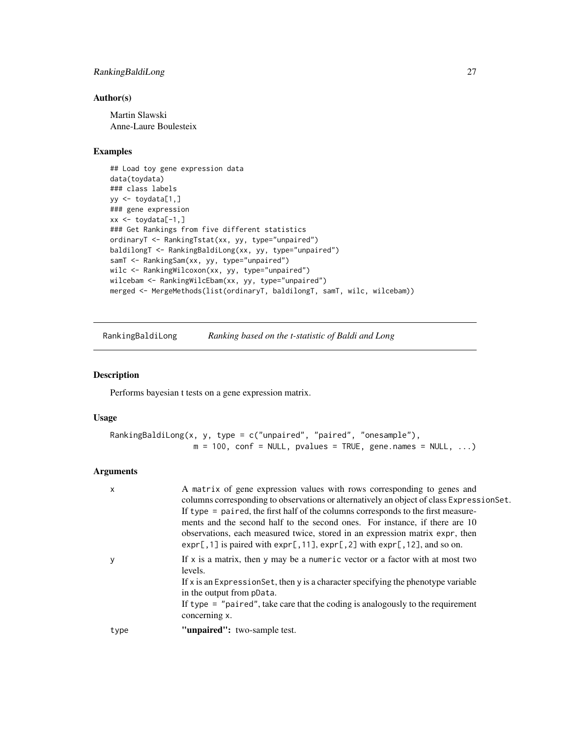# <span id="page-26-0"></span>RankingBaldiLong 27

# Author(s)

Martin Slawski Anne-Laure Boulesteix

# Examples

```
## Load toy gene expression data
data(toydata)
### class labels
yy <- toydata[1,]
### gene expression
xx <- toydata[-1,]
### Get Rankings from five different statistics
ordinaryT <- RankingTstat(xx, yy, type="unpaired")
baldilongT <- RankingBaldiLong(xx, yy, type="unpaired")
samT <- RankingSam(xx, yy, type="unpaired")
wilc <- RankingWilcoxon(xx, yy, type="unpaired")
wilcebam <- RankingWilcEbam(xx, yy, type="unpaired")
merged <- MergeMethods(list(ordinaryT, baldilongT, samT, wilc, wilcebam))
```
<span id="page-26-1"></span>RankingBaldiLong *Ranking based on the t-statistic of Baldi and Long*

#### Description

Performs bayesian t tests on a gene expression matrix.

### Usage

```
RankingBaldiLong(x, y, type = c("unpaired", "paired", "onesample"),
                 m = 100, conf = NULL, pvalues = TRUE, gene.names = NULL, ...)
```
## Arguments

| X    | A matrix of gene expression values with rows corresponding to genes and<br>columns corresponding to observations or alternatively an object of class Expression Set.<br>If type $=$ paired, the first half of the columns corresponds to the first measure-<br>ments and the second half to the second ones. For instance, if there are 10<br>observations, each measured twice, stored in an expression matrix expr, then<br>$exp[$ , 1] is paired with $exp[$ , 11], $exp[$ , 2] with $exp[$ , 12], and so on. |
|------|------------------------------------------------------------------------------------------------------------------------------------------------------------------------------------------------------------------------------------------------------------------------------------------------------------------------------------------------------------------------------------------------------------------------------------------------------------------------------------------------------------------|
|      | If $x$ is a matrix, then y may be a numeric vector or a factor with at most two<br>levels.<br>If x is an Expression Set, then y is a character specifying the phenotype variable<br>in the output from pData.<br>If type $=$ "paired", take care that the coding is analogously to the requirement<br>concerning x.                                                                                                                                                                                              |
| type | "unpaired": two-sample test.                                                                                                                                                                                                                                                                                                                                                                                                                                                                                     |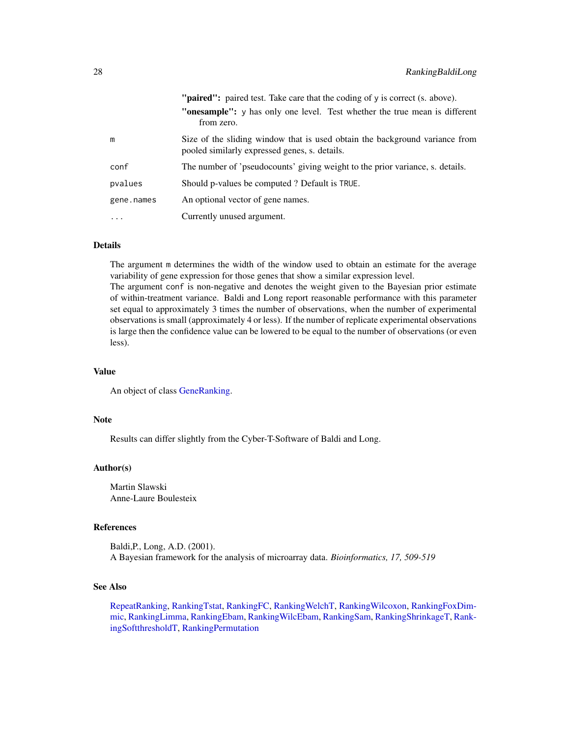|            | " <b>paired":</b> paired test. Take care that the coding of y is correct (s. above).                                         |
|------------|------------------------------------------------------------------------------------------------------------------------------|
|            | <b>"onesample":</b> y has only one level. Test whether the true mean is different<br>from zero.                              |
| m          | Size of the sliding window that is used obtain the background variance from<br>pooled similarly expressed genes, s. details. |
| conf       | The number of 'pseudocounts' giving weight to the prior variance, s. details.                                                |
| pvalues    | Should p-values be computed? Default is TRUE.                                                                                |
| gene.names | An optional vector of gene names.                                                                                            |
| .          | Currently unused argument.                                                                                                   |

## Details

The argument m determines the width of the window used to obtain an estimate for the average variability of gene expression for those genes that show a similar expression level.

The argument conf is non-negative and denotes the weight given to the Bayesian prior estimate of within-treatment variance. Baldi and Long report reasonable performance with this parameter set equal to approximately 3 times the number of observations, when the number of experimental observations is small (approximately 4 or less). If the number of replicate experimental observations is large then the confidence value can be lowered to be equal to the number of observations (or even less).

### Value

An object of class [GeneRanking.](#page-12-1)

## Note

Results can differ slightly from the Cyber-T-Software of Baldi and Long.

## Author(s)

Martin Slawski Anne-Laure Boulesteix

## References

Baldi,P., Long, A.D. (2001). A Bayesian framework for the analysis of microarray data. *Bioinformatics, 17, 509-519*

#### See Also

[RepeatRanking,](#page-46-1) [RankingTstat,](#page-40-1) [RankingFC,](#page-30-1) [RankingWelchT,](#page-41-1) [RankingWilcoxon,](#page-44-1) [RankingFoxDim](#page-31-1)[mic,](#page-31-1) [RankingLimma,](#page-32-1) [RankingEbam,](#page-28-1) [RankingWilcEbam,](#page-42-1) [RankingSam,](#page-35-1) [RankingShrinkageT,](#page-37-1) [Rank](#page-38-1)[ingSoftthresholdT,](#page-38-1) [RankingPermutation](#page-34-1)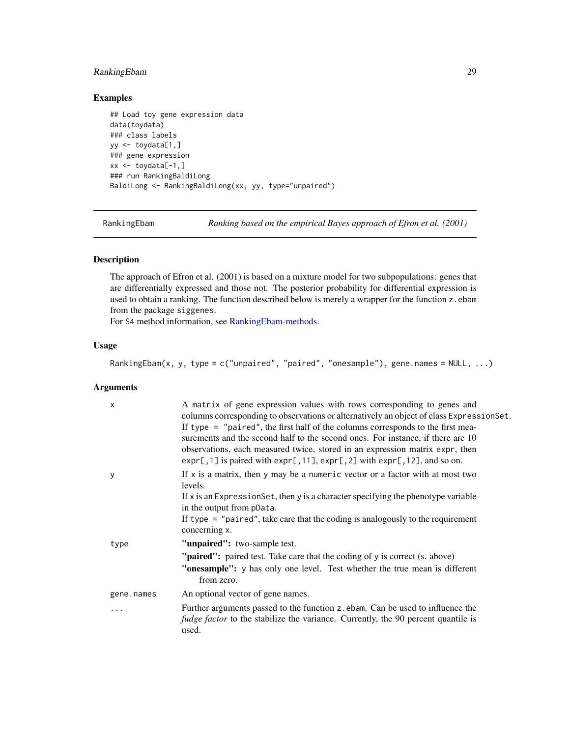# <span id="page-28-0"></span>RankingEbam 29

# Examples

```
## Load toy gene expression data
data(toydata)
### class labels
yy <- toydata[1,]
### gene expression
xx \leftarrow \text{toydata}[-1, ]### run RankingBaldiLong
BaldiLong <- RankingBaldiLong(xx, yy, type="unpaired")
```
<span id="page-28-1"></span>RankingEbam *Ranking based on the empirical Bayes approach of Efron et al. (2001)*

# <span id="page-28-2"></span>Description

The approach of Efron et al. (2001) is based on a mixture model for two subpopulations: genes that are differentially expressed and those not. The posterior probability for differential expression is used to obtain a ranking. The function described below is merely a wrapper for the function z.ebam from the package siggenes.

For S4 method information, see [RankingEbam-methods.](#page-28-2)

## Usage

RankingEbam(x, y, type = c("unpaired", "paired", "onesample"), gene.names = NULL, ...)

#### Arguments

| X          | A matrix of gene expression values with rows corresponding to genes and<br>columns corresponding to observations or alternatively an object of class ExpressionSet.<br>If type $=$ "paired", the first half of the columns corresponds to the first mea-<br>surements and the second half to the second ones. For instance, if there are 10<br>observations, each measured twice, stored in an expression matrix expr, then<br>$exp[$ , 1] is paired with $exp[$ , 11], $exp[$ , 2] with $exp[$ , 12], and so on. |
|------------|-------------------------------------------------------------------------------------------------------------------------------------------------------------------------------------------------------------------------------------------------------------------------------------------------------------------------------------------------------------------------------------------------------------------------------------------------------------------------------------------------------------------|
| У          | If $x$ is a matrix, then $y$ may be a numeric vector or a factor with at most two<br>levels.                                                                                                                                                                                                                                                                                                                                                                                                                      |
|            | If x is an Expression Set, then y is a character specifying the phenotype variable<br>in the output from pData.                                                                                                                                                                                                                                                                                                                                                                                                   |
|            | If type $=$ "paired", take care that the coding is analogously to the requirement<br>concerning x.                                                                                                                                                                                                                                                                                                                                                                                                                |
| type       | "unpaired": two-sample test.                                                                                                                                                                                                                                                                                                                                                                                                                                                                                      |
|            | "paired": paired test. Take care that the coding of y is correct (s. above)                                                                                                                                                                                                                                                                                                                                                                                                                                       |
|            | "onesample": y has only one level. Test whether the true mean is different<br>from zero.                                                                                                                                                                                                                                                                                                                                                                                                                          |
| gene.names | An optional vector of gene names.                                                                                                                                                                                                                                                                                                                                                                                                                                                                                 |
| .          | Further arguments passed to the function z ebam. Can be used to influence the<br><i>fudge factor</i> to the stabilize the variance. Currently, the 90 percent quantile is<br>used.                                                                                                                                                                                                                                                                                                                                |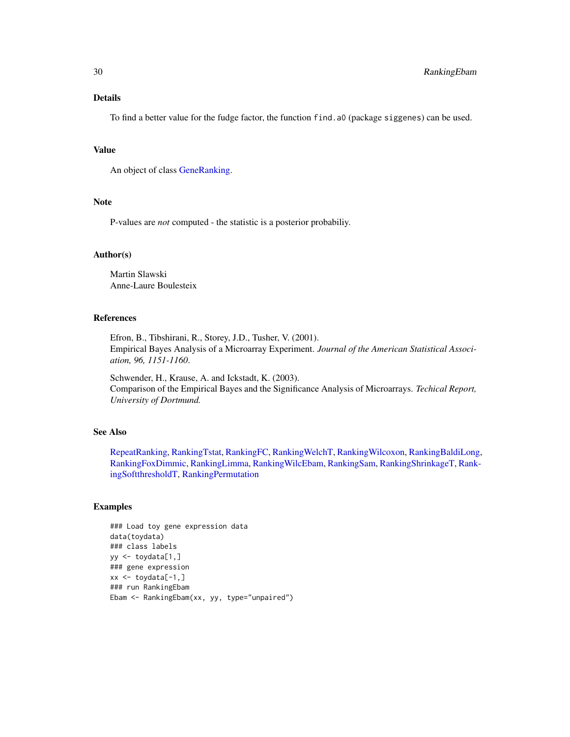## Details

To find a better value for the fudge factor, the function find.a0 (package siggenes) can be used.

#### Value

An object of class [GeneRanking.](#page-12-1)

# Note

P-values are *not* computed - the statistic is a posterior probabiliy.

#### Author(s)

Martin Slawski Anne-Laure Boulesteix

# References

Efron, B., Tibshirani, R., Storey, J.D., Tusher, V. (2001). Empirical Bayes Analysis of a Microarray Experiment. *Journal of the American Statistical Association, 96, 1151-1160*.

Schwender, H., Krause, A. and Ickstadt, K. (2003). Comparison of the Empirical Bayes and the Significance Analysis of Microarrays. *Techical Report, University of Dortmund.*

## See Also

[RepeatRanking,](#page-46-1) [RankingTstat,](#page-40-1) [RankingFC,](#page-30-1) [RankingWelchT,](#page-41-1) [RankingWilcoxon,](#page-44-1) [RankingBaldiLong,](#page-26-1) [RankingFoxDimmic,](#page-31-1) [RankingLimma,](#page-32-1) [RankingWilcEbam,](#page-42-1) [RankingSam,](#page-35-1) [RankingShrinkageT,](#page-37-1) [Rank](#page-38-1)[ingSoftthresholdT,](#page-38-1) [RankingPermutation](#page-34-1)

# Examples

```
### Load toy gene expression data
data(toydata)
### class labels
yy <- toydata[1,]
### gene expression
xx \le -\text{toydata}[-1, ]### run RankingEbam
Ebam <- RankingEbam(xx, yy, type="unpaired")
```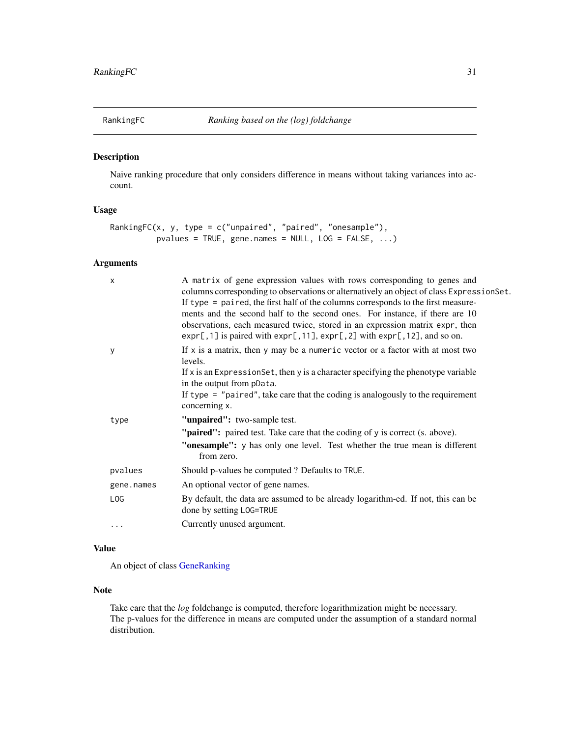<span id="page-30-1"></span><span id="page-30-0"></span>

## Description

Naive ranking procedure that only considers difference in means without taking variances into account.

# Usage

```
RankingFC(x, y, type = c("unpaired", "paired", "onesample"),
         pvalues = TRUE, gene.names = NULL, LOG = FALSE, ...)
```
# Arguments

| X          | A matrix of gene expression values with rows corresponding to genes and<br>columns corresponding to observations or alternatively an object of class ExpressionSet.<br>If type = paired, the first half of the columns corresponds to the first measure-<br>ments and the second half to the second ones. For instance, if there are 10<br>observations, each measured twice, stored in an expression matrix expr, then<br>$exp[$ , 1] is paired with $exp[$ , 11], $exp[$ , 2] with $exp[$ , 12], and so on. |
|------------|---------------------------------------------------------------------------------------------------------------------------------------------------------------------------------------------------------------------------------------------------------------------------------------------------------------------------------------------------------------------------------------------------------------------------------------------------------------------------------------------------------------|
| у          | If $x$ is a matrix, then $y$ may be a numeric vector or a factor with at most two<br>levels.                                                                                                                                                                                                                                                                                                                                                                                                                  |
|            | If x is an Expression Set, then y is a character specifying the phenotype variable<br>in the output from pData.                                                                                                                                                                                                                                                                                                                                                                                               |
|            | If type $=$ "paired", take care that the coding is analogously to the requirement<br>concerning x.                                                                                                                                                                                                                                                                                                                                                                                                            |
| type       | "unpaired": two-sample test.                                                                                                                                                                                                                                                                                                                                                                                                                                                                                  |
|            | " <b>paired":</b> paired test. Take care that the coding of y is correct (s. above).                                                                                                                                                                                                                                                                                                                                                                                                                          |
|            | "onesample": y has only one level. Test whether the true mean is different<br>from zero.                                                                                                                                                                                                                                                                                                                                                                                                                      |
| pvalues    | Should p-values be computed ? Defaults to TRUE.                                                                                                                                                                                                                                                                                                                                                                                                                                                               |
| gene.names | An optional vector of gene names.                                                                                                                                                                                                                                                                                                                                                                                                                                                                             |
| LOG        | By default, the data are assumed to be already logarithm-ed. If not, this can be<br>done by setting LOG=TRUE                                                                                                                                                                                                                                                                                                                                                                                                  |
| .          | Currently unused argument.                                                                                                                                                                                                                                                                                                                                                                                                                                                                                    |

## Value

An object of class [GeneRanking](#page-12-1)

## Note

Take care that the *log* foldchange is computed, therefore logarithmization might be necessary. The p-values for the difference in means are computed under the assumption of a standard normal distribution.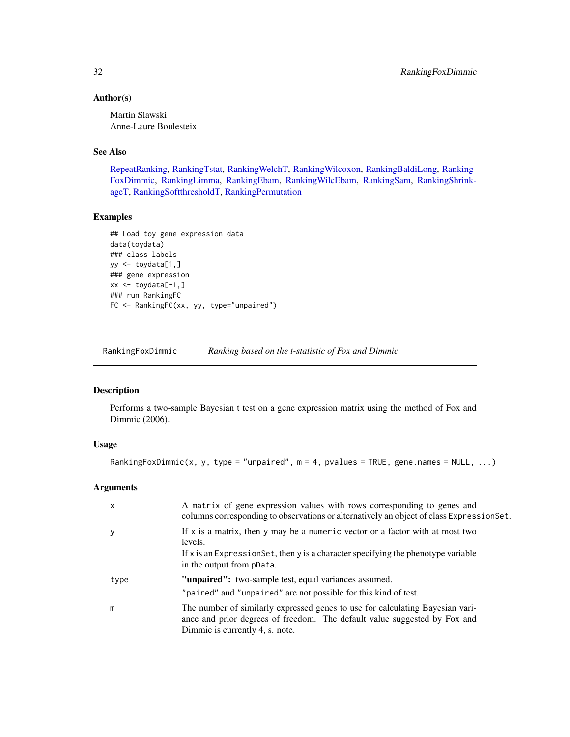## <span id="page-31-0"></span>Author(s)

Martin Slawski Anne-Laure Boulesteix

#### See Also

[RepeatRanking,](#page-46-1) [RankingTstat,](#page-40-1) [RankingWelchT,](#page-41-1) [RankingWilcoxon,](#page-44-1) [RankingBaldiLong,](#page-26-1) [Ranking-](#page-31-1)[FoxDimmic,](#page-31-1) [RankingLimma,](#page-32-1) [RankingEbam,](#page-28-1) [RankingWilcEbam,](#page-42-1) [RankingSam,](#page-35-1) [RankingShrink](#page-37-1)[ageT,](#page-37-1) [RankingSoftthresholdT,](#page-38-1) [RankingPermutation](#page-34-1)

## Examples

```
## Load toy gene expression data
data(toydata)
### class labels
yy <- toydata[1,]
### gene expression
xx \le -\text{toydata}[-1, ]### run RankingFC
FC <- RankingFC(xx, yy, type="unpaired")
```
<span id="page-31-1"></span>RankingFoxDimmic *Ranking based on the t-statistic of Fox and Dimmic*

# Description

Performs a two-sample Bayesian t test on a gene expression matrix using the method of Fox and Dimmic (2006).

# Usage

RankingFoxDimmic(x, y, type = "unpaired",  $m = 4$ , pvalues = TRUE, gene.names = NULL, ...)

## Arguments

| $\mathsf{x}$ | A matrix of gene expression values with rows corresponding to genes and<br>columns corresponding to observations or alternatively an object of class Expression Set.                                            |
|--------------|-----------------------------------------------------------------------------------------------------------------------------------------------------------------------------------------------------------------|
| y            | If $x$ is a matrix, then y may be a numeric vector or a factor with at most two<br>levels.<br>If $x$ is an Expression Set, then y is a character specifying the phenotype variable<br>in the output from pData. |
| type         | "unpaired": two-sample test, equal variances assumed.<br>"paired" and "unpaired" are not possible for this kind of test.                                                                                        |
| m            | The number of similarly expressed genes to use for calculating Bayesian vari-<br>ance and prior degrees of freedom. The default value suggested by Fox and<br>Dimmic is currently 4, s. note.                   |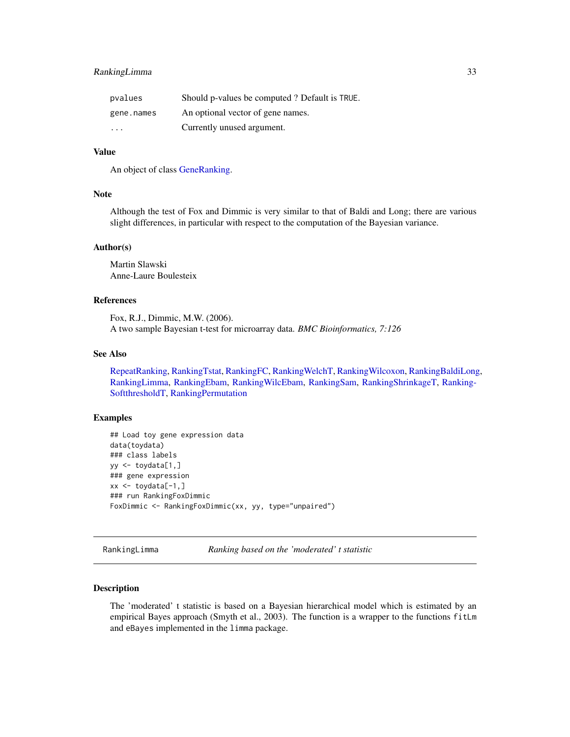# <span id="page-32-0"></span>RankingLimma 33

| pvalues                 | Should p-values be computed? Default is TRUE. |
|-------------------------|-----------------------------------------------|
| gene.names              | An optional vector of gene names.             |
| $\cdot$ $\cdot$ $\cdot$ | Currently unused argument.                    |

## Value

An object of class [GeneRanking.](#page-12-1)

# Note

Although the test of Fox and Dimmic is very similar to that of Baldi and Long; there are various slight differences, in particular with respect to the computation of the Bayesian variance.

#### Author(s)

Martin Slawski Anne-Laure Boulesteix

#### References

Fox, R.J., Dimmic, M.W. (2006). A two sample Bayesian t-test for microarray data. *BMC Bioinformatics, 7:126*

## See Also

[RepeatRanking,](#page-46-1) [RankingTstat,](#page-40-1) [RankingFC,](#page-30-1) [RankingWelchT,](#page-41-1) [RankingWilcoxon,](#page-44-1) [RankingBaldiLong,](#page-26-1) [RankingLimma,](#page-32-1) [RankingEbam,](#page-28-1) [RankingWilcEbam,](#page-42-1) [RankingSam,](#page-35-1) [RankingShrinkageT,](#page-37-1) [Ranking-](#page-38-1)[SoftthresholdT,](#page-38-1) [RankingPermutation](#page-34-1)

## Examples

```
## Load toy gene expression data
data(toydata)
### class labels
yy <- toydata[1,]
### gene expression
xx \le toydata[-1,]
### run RankingFoxDimmic
FoxDimmic <- RankingFoxDimmic(xx, yy, type="unpaired")
```
<span id="page-32-1"></span>RankingLimma *Ranking based on the 'moderated' t statistic*

## Description

The 'moderated' t statistic is based on a Bayesian hierarchical model which is estimated by an empirical Bayes approach (Smyth et al., 2003). The function is a wrapper to the functions fitLm and eBayes implemented in the limma package.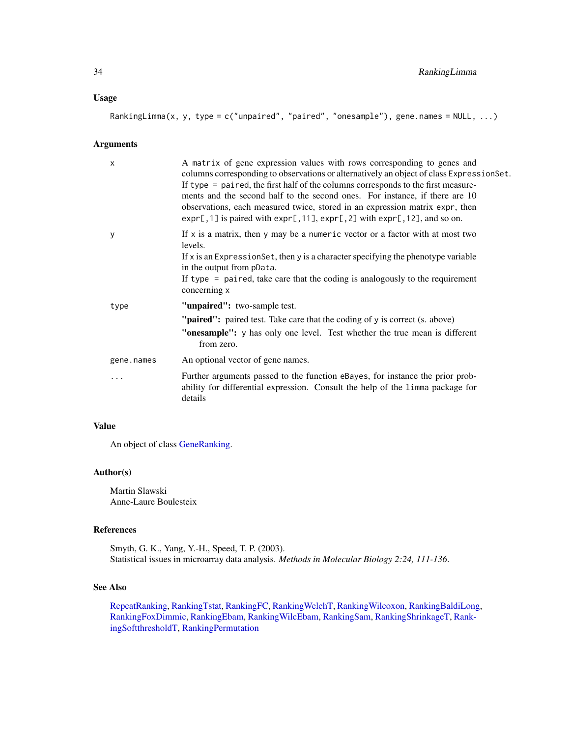## Usage

RankingLimma(x, y, type = c("unpaired", "paired", "onesample"), gene.names = NULL, ...)

## Arguments

| $\times$   | A matrix of gene expression values with rows corresponding to genes and<br>columns corresponding to observations or alternatively an object of class ExpressionSet.<br>If type $=$ paired, the first half of the columns corresponds to the first measure-<br>ments and the second half to the second ones. For instance, if there are 10<br>observations, each measured twice, stored in an expression matrix expr, then<br>$\exp[$ , 1] is paired with $\exp[$ , 11], $\exp[$ , 2] with $\exp[$ , 12], and so on. |
|------------|---------------------------------------------------------------------------------------------------------------------------------------------------------------------------------------------------------------------------------------------------------------------------------------------------------------------------------------------------------------------------------------------------------------------------------------------------------------------------------------------------------------------|
| у          | If $x$ is a matrix, then $y$ may be a numeric vector or a factor with at most two<br>levels.<br>If x is an Expression Set, then y is a character specifying the phenotype variable<br>in the output from pData.<br>If type $=$ paired, take care that the coding is analogously to the requirement<br>concerning x                                                                                                                                                                                                  |
| type       | "unpaired": two-sample test.                                                                                                                                                                                                                                                                                                                                                                                                                                                                                        |
|            | " <b>paired":</b> paired test. Take care that the coding of y is correct (s. above)                                                                                                                                                                                                                                                                                                                                                                                                                                 |
|            | "onesample": y has only one level. Test whether the true mean is different<br>from zero.                                                                                                                                                                                                                                                                                                                                                                                                                            |
| gene.names | An optional vector of gene names.                                                                                                                                                                                                                                                                                                                                                                                                                                                                                   |
| .          | Further arguments passed to the function eBayes, for instance the prior prob-<br>ability for differential expression. Consult the help of the limma package for<br>details                                                                                                                                                                                                                                                                                                                                          |

#### Value

An object of class [GeneRanking.](#page-12-1)

## Author(s)

Martin Slawski Anne-Laure Boulesteix

# References

Smyth, G. K., Yang, Y.-H., Speed, T. P. (2003). Statistical issues in microarray data analysis. *Methods in Molecular Biology 2:24, 111-136*.

# See Also

[RepeatRanking,](#page-46-1) [RankingTstat,](#page-40-1) [RankingFC,](#page-30-1) [RankingWelchT,](#page-41-1) [RankingWilcoxon,](#page-44-1) [RankingBaldiLong,](#page-26-1) [RankingFoxDimmic,](#page-31-1) [RankingEbam,](#page-28-1) [RankingWilcEbam,](#page-42-1) [RankingSam,](#page-35-1) [RankingShrinkageT,](#page-37-1) [Rank](#page-38-1)[ingSoftthresholdT,](#page-38-1) [RankingPermutation](#page-34-1)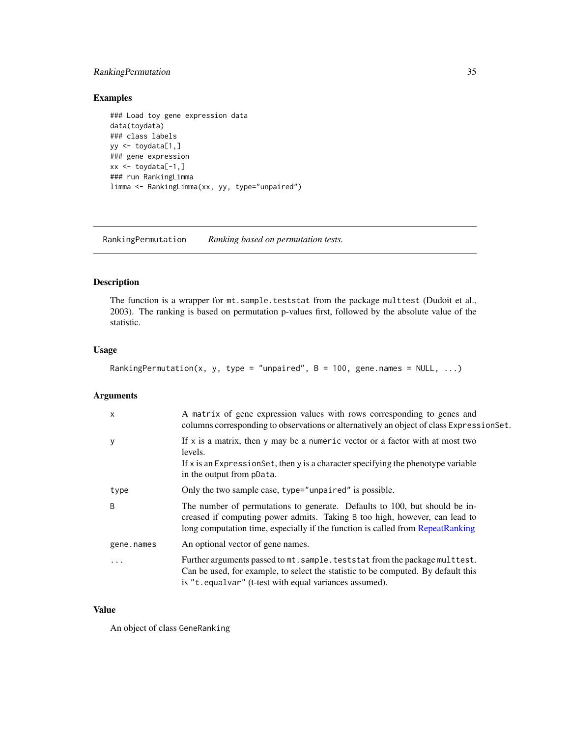# <span id="page-34-0"></span>RankingPermutation 35

# Examples

```
### Load toy gene expression data
data(toydata)
### class labels
yy <- toydata[1,]
### gene expression
xx \le -\text{toydata}[-1, ]### run RankingLimma
limma <- RankingLimma(xx, yy, type="unpaired")
```
<span id="page-34-1"></span>RankingPermutation *Ranking based on permutation tests.*

# Description

The function is a wrapper for mt.sample.teststat from the package multtest (Dudoit et al., 2003). The ranking is based on permutation p-values first, followed by the absolute value of the statistic.

# Usage

```
RankingPermutation(x, y, type = "unpaired", B = 100, gene.names = NULL, ...)
```
## Arguments

| $\mathsf{x}$ | A matrix of gene expression values with rows corresponding to genes and<br>columns corresponding to observations or alternatively an object of class ExpressionSet.                                                                        |
|--------------|--------------------------------------------------------------------------------------------------------------------------------------------------------------------------------------------------------------------------------------------|
| y            | If $x$ is a matrix, then y may be a numeric vector or a factor with at most two<br>levels.<br>If $x$ is an Expression Set, then $y$ is a character specifying the phenotype variable<br>in the output from pData.                          |
| type         | Only the two sample case, type="unpaired" is possible.                                                                                                                                                                                     |
| B            | The number of permutations to generate. Defaults to 100, but should be in-<br>creased if computing power admits. Taking B too high, however, can lead to<br>long computation time, especially if the function is called from RepeatRanking |
| gene.names   | An optional vector of gene names.                                                                                                                                                                                                          |
| .            | Further arguments passed to mt. sample. teststat from the package multtest.<br>Can be used, for example, to select the statistic to be computed. By default this<br>is "t.equalvar" (t-test with equal variances assumed).                 |

# Value

An object of class GeneRanking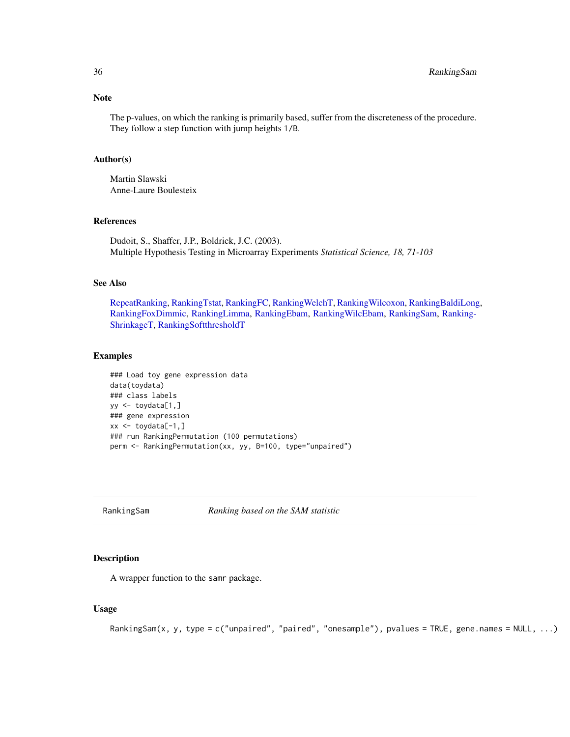<span id="page-35-0"></span>The p-values, on which the ranking is primarily based, suffer from the discreteness of the procedure. They follow a step function with jump heights 1/B.

#### Author(s)

Martin Slawski Anne-Laure Boulesteix

# References

Dudoit, S., Shaffer, J.P., Boldrick, J.C. (2003). Multiple Hypothesis Testing in Microarray Experiments *Statistical Science, 18, 71-103*

# See Also

[RepeatRanking,](#page-46-1) [RankingTstat,](#page-40-1) [RankingFC,](#page-30-1) [RankingWelchT,](#page-41-1) [RankingWilcoxon,](#page-44-1) [RankingBaldiLong,](#page-26-1) [RankingFoxDimmic,](#page-31-1) [RankingLimma,](#page-32-1) [RankingEbam,](#page-28-1) [RankingWilcEbam,](#page-42-1) [RankingSam,](#page-35-1) [Ranking-](#page-37-1)[ShrinkageT,](#page-37-1) [RankingSoftthresholdT](#page-38-1)

#### Examples

```
### Load toy gene expression data
data(toydata)
### class labels
yy <- toydata[1,]
### gene expression
xx \leftarrow \text{toydata}[-1, ]### run RankingPermutation (100 permutations)
perm <- RankingPermutation(xx, yy, B=100, type="unpaired")
```
<span id="page-35-1"></span>RankingSam *Ranking based on the SAM statistic*

# Description

A wrapper function to the samr package.

## Usage

```
RankingSam(x, y, type = c("unpaired", "paired", "onesample"), pvalues = TRUE, gene.names = NULL, ...)
```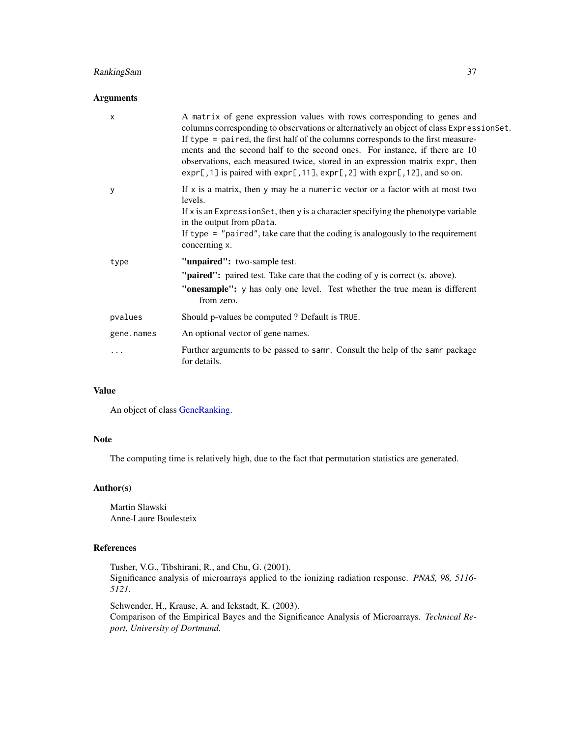# RankingSam 37

## Arguments

| X          | A matrix of gene expression values with rows corresponding to genes and<br>columns corresponding to observations or alternatively an object of class ExpressionSet.<br>If type $=$ paired, the first half of the columns corresponds to the first measure-<br>ments and the second half to the second ones. For instance, if there are 10<br>observations, each measured twice, stored in an expression matrix expr, then<br>$expr[, 1]$ is paired with $expr[, 11]$ , $expr[, 2]$ with $expr[, 12]$ , and so on. |
|------------|-------------------------------------------------------------------------------------------------------------------------------------------------------------------------------------------------------------------------------------------------------------------------------------------------------------------------------------------------------------------------------------------------------------------------------------------------------------------------------------------------------------------|
| У          | If $x$ is a matrix, then $y$ may be a numeric vector or a factor with at most two<br>levels.<br>If x is an Expression Set, then y is a character specifying the phenotype variable<br>in the output from pData.<br>If type $=$ "paired", take care that the coding is analogously to the requirement<br>concerning x.                                                                                                                                                                                             |
| type       | "unpaired": two-sample test.<br>"paired": paired test. Take care that the coding of y is correct (s. above).<br>"onesample": y has only one level. Test whether the true mean is different<br>from zero.                                                                                                                                                                                                                                                                                                          |
| pvalues    | Should p-values be computed? Default is TRUE.                                                                                                                                                                                                                                                                                                                                                                                                                                                                     |
| gene.names | An optional vector of gene names.                                                                                                                                                                                                                                                                                                                                                                                                                                                                                 |
| .          | Further arguments to be passed to samr. Consult the help of the samr package<br>for details.                                                                                                                                                                                                                                                                                                                                                                                                                      |

# Value

An object of class [GeneRanking.](#page-12-1)

## Note

The computing time is relatively high, due to the fact that permutation statistics are generated.

## Author(s)

Martin Slawski Anne-Laure Boulesteix

# References

Tusher, V.G., Tibshirani, R., and Chu, G. (2001). Significance analysis of microarrays applied to the ionizing radiation response. *PNAS, 98, 5116- 5121.*

Schwender, H., Krause, A. and Ickstadt, K. (2003). Comparison of the Empirical Bayes and the Significance Analysis of Microarrays. *Technical Report, University of Dortmund.*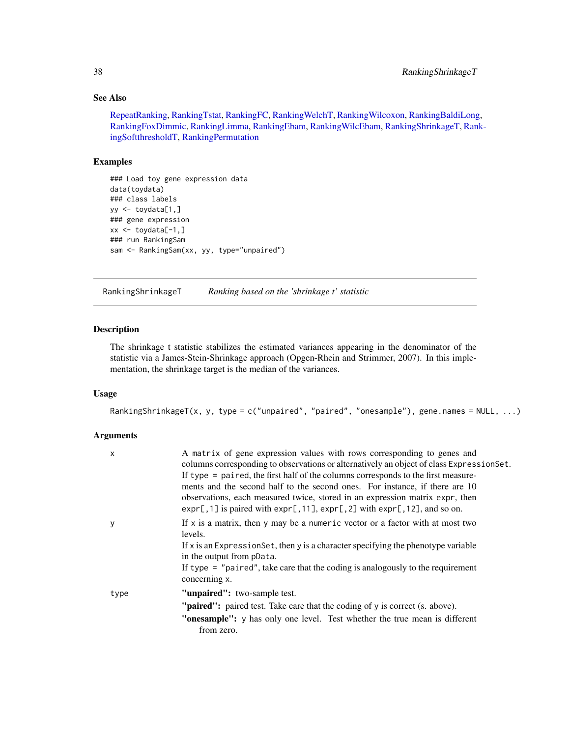# See Also

[RepeatRanking,](#page-46-1) [RankingTstat,](#page-40-1) [RankingFC,](#page-30-1) [RankingWelchT,](#page-41-1) [RankingWilcoxon,](#page-44-1) [RankingBaldiLong,](#page-26-1) [RankingFoxDimmic,](#page-31-1) [RankingLimma,](#page-32-1) [RankingEbam,](#page-28-1) [RankingWilcEbam,](#page-42-1) [RankingShrinkageT,](#page-37-1) [Ran](#page-38-1)k[ingSoftthresholdT,](#page-38-1) [RankingPermutation](#page-34-1)

# Examples

```
### Load toy gene expression data
data(toydata)
### class labels
yy <- toydata[1,]
### gene expression
xx <- toydata[-1,]
### run RankingSam
sam <- RankingSam(xx, yy, type="unpaired")
```
<span id="page-37-1"></span>RankingShrinkageT *Ranking based on the 'shrinkage t' statistic*

#### Description

The shrinkage t statistic stabilizes the estimated variances appearing in the denominator of the statistic via a James-Stein-Shrinkage approach (Opgen-Rhein and Strimmer, 2007). In this implementation, the shrinkage target is the median of the variances.

# Usage

```
RankingShrinkageT(x, y, type = c("unpaired", "paired", "onesample"), gene.names = NULL, ...)
```
## Arguments

| $\mathsf{x}$ | A matrix of gene expression values with rows corresponding to genes and<br>columns corresponding to observations or alternatively an object of class ExpressionSet.<br>If type $=$ paired, the first half of the columns corresponds to the first measure-<br>ments and the second half to the second ones. For instance, if there are 10<br>observations, each measured twice, stored in an expression matrix expr, then<br>$exp[$ , 1] is paired with $exp[$ , 11], $exp[$ , 2] with $exp[$ , 12], and so on. |
|--------------|-----------------------------------------------------------------------------------------------------------------------------------------------------------------------------------------------------------------------------------------------------------------------------------------------------------------------------------------------------------------------------------------------------------------------------------------------------------------------------------------------------------------|
| у            | If $x$ is a matrix, then y may be a numeric vector or a factor with at most two<br>levels.<br>If x is an Expression Set, then y is a character specifying the phenotype variable<br>in the output from pData.<br>If type $=$ "paired", take care that the coding is analogously to the requirement<br>concerning x.                                                                                                                                                                                             |
| type         | "unpaired": two-sample test.<br><b>"paired":</b> paired test. Take care that the coding of y is correct (s. above).<br>"onesample": y has only one level. Test whether the true mean is different<br>from zero.                                                                                                                                                                                                                                                                                                 |

<span id="page-37-0"></span>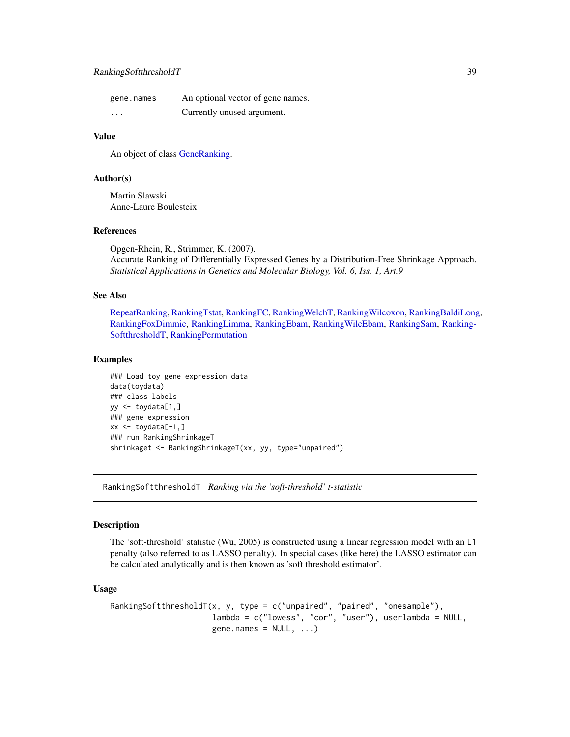# <span id="page-38-0"></span>RankingSoftthresholdT 39

| gene.names | An optional vector of gene names. |
|------------|-----------------------------------|
| .          | Currently unused argument.        |

## Value

An object of class [GeneRanking.](#page-12-1)

## Author(s)

Martin Slawski Anne-Laure Boulesteix

# References

Opgen-Rhein, R., Strimmer, K. (2007). Accurate Ranking of Differentially Expressed Genes by a Distribution-Free Shrinkage Approach. *Statistical Applications in Genetics and Molecular Biology, Vol. 6, Iss. 1, Art.9*

## See Also

[RepeatRanking,](#page-46-1) [RankingTstat,](#page-40-1) [RankingFC,](#page-30-1) [RankingWelchT,](#page-41-1) [RankingWilcoxon,](#page-44-1) [RankingBaldiLong,](#page-26-1) [RankingFoxDimmic,](#page-31-1) [RankingLimma,](#page-32-1) [RankingEbam,](#page-28-1) [RankingWilcEbam,](#page-42-1) [RankingSam,](#page-35-1) [Ranking-](#page-38-1)[SoftthresholdT,](#page-38-1) [RankingPermutation](#page-34-1)

## Examples

```
### Load toy gene expression data
data(toydata)
### class labels
yy <- toydata[1,]
### gene expression
xx \le -\text{toydata}[-1, ]### run RankingShrinkageT
shrinkaget <- RankingShrinkageT(xx, yy, type="unpaired")
```
<span id="page-38-1"></span>RankingSoftthresholdT *Ranking via the 'soft-threshold' t-statistic*

## Description

The 'soft-threshold' statistic (Wu, 2005) is constructed using a linear regression model with an L1 penalty (also referred to as LASSO penalty). In special cases (like here) the LASSO estimator can be calculated analytically and is then known as 'soft threshold estimator'.

#### Usage

```
RankingSoftthresholdT(x, y, type = c("unpaired", "paired", "onesample"),
                     lambda = c("lowess", "cor", "user"), userlambda = NULL,
                     gene.names = NULL, ...)
```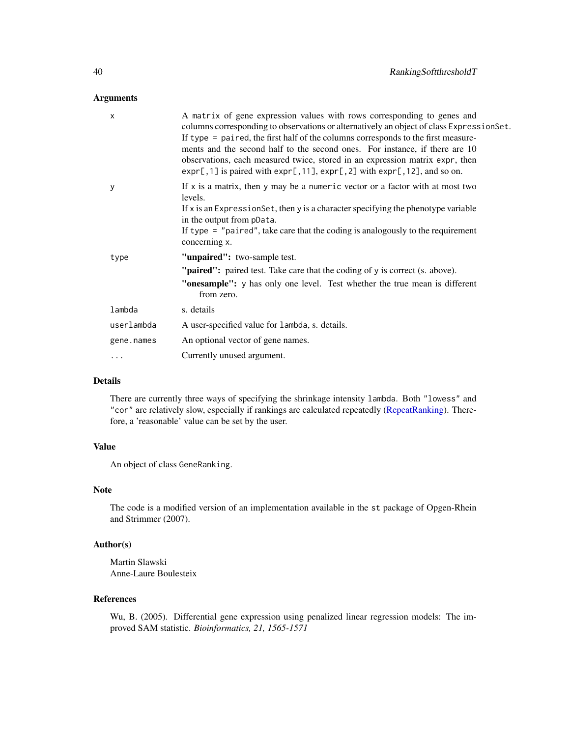## Arguments

| X          | A matrix of gene expression values with rows corresponding to genes and<br>columns corresponding to observations or alternatively an object of class ExpressionSet.<br>If type = paired, the first half of the columns corresponds to the first measure-<br>ments and the second half to the second ones. For instance, if there are 10<br>observations, each measured twice, stored in an expression matrix expr, then<br>$expr[, 1]$ is paired with $expr[, 11]$ , $expr[, 2]$ with $expr[, 12]$ , and so on. |
|------------|-----------------------------------------------------------------------------------------------------------------------------------------------------------------------------------------------------------------------------------------------------------------------------------------------------------------------------------------------------------------------------------------------------------------------------------------------------------------------------------------------------------------|
| У          | If $x$ is a matrix, then y may be a numeric vector or a factor with at most two<br>levels.<br>If x is an Expression Set, then y is a character specifying the phenotype variable<br>in the output from pData.                                                                                                                                                                                                                                                                                                   |
|            | If type $=$ "paired", take care that the coding is analogously to the requirement<br>concerning x.                                                                                                                                                                                                                                                                                                                                                                                                              |
| type       | "unpaired": two-sample test.                                                                                                                                                                                                                                                                                                                                                                                                                                                                                    |
|            | " <b>paired":</b> paired test. Take care that the coding of y is correct (s. above).                                                                                                                                                                                                                                                                                                                                                                                                                            |
|            | "onesample": y has only one level. Test whether the true mean is different<br>from zero.                                                                                                                                                                                                                                                                                                                                                                                                                        |
| lambda     | s. details                                                                                                                                                                                                                                                                                                                                                                                                                                                                                                      |
| userlambda | A user-specified value for lambda, s. details.                                                                                                                                                                                                                                                                                                                                                                                                                                                                  |
| gene.names | An optional vector of gene names.                                                                                                                                                                                                                                                                                                                                                                                                                                                                               |
| .          | Currently unused argument.                                                                                                                                                                                                                                                                                                                                                                                                                                                                                      |

## Details

There are currently three ways of specifying the shrinkage intensity lambda. Both "lowess" and "cor" are relatively slow, especially if rankings are calculated repeatedly [\(RepeatRanking\)](#page-46-1). Therefore, a 'reasonable' value can be set by the user.

# Value

An object of class GeneRanking.

## Note

The code is a modified version of an implementation available in the st package of Opgen-Rhein and Strimmer (2007).

## Author(s)

Martin Slawski Anne-Laure Boulesteix

# References

Wu, B. (2005). Differential gene expression using penalized linear regression models: The improved SAM statistic. *Bioinformatics, 21, 1565-1571*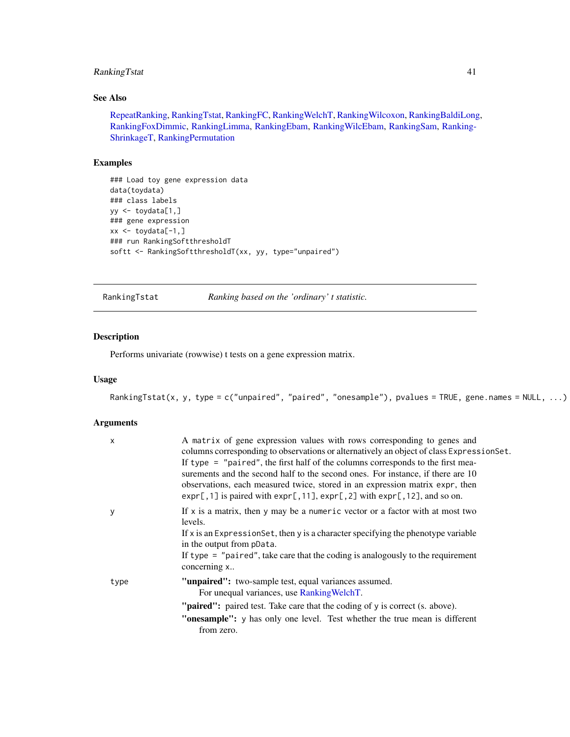# <span id="page-40-0"></span>RankingTstat 41

# See Also

[RepeatRanking,](#page-46-1) [RankingTstat,](#page-40-1) [RankingFC,](#page-30-1) [RankingWelchT,](#page-41-1) [RankingWilcoxon,](#page-44-1) [RankingBaldiLong,](#page-26-1) [RankingFoxDimmic,](#page-31-1) [RankingLimma,](#page-32-1) [RankingEbam,](#page-28-1) [RankingWilcEbam,](#page-42-1) [RankingSam,](#page-35-1) [Ranking-](#page-37-1)[ShrinkageT,](#page-37-1) [RankingPermutation](#page-34-1)

# Examples

```
### Load toy gene expression data
data(toydata)
### class labels
yy <- toydata[1,]
### gene expression
xx \leftarrow \text{toydata}[-1, ]### run RankingSoftthresholdT
softt <- RankingSoftthresholdT(xx, yy, type="unpaired")
```
<span id="page-40-1"></span>RankingTstat *Ranking based on the 'ordinary' t statistic.*

# Description

Performs univariate (rowwise) t tests on a gene expression matrix.

# Usage

```
RankingTstat(x, y, type = c("unpaired", "paired", "onesample"), pvalues = TRUE, gene.names = NULL, ...)
```
#### Arguments

| $\mathsf{x}$ | A matrix of gene expression values with rows corresponding to genes and<br>columns corresponding to observations or alternatively an object of class ExpressionSet.<br>If type $=$ "paired", the first half of the columns corresponds to the first mea-<br>surements and the second half to the second ones. For instance, if there are 10<br>observations, each measured twice, stored in an expression matrix expr, then<br>$exp[$ , 1] is paired with $exp[$ , 11], $exp[$ , 2] with $exp[$ , 12], and so on. |
|--------------|-------------------------------------------------------------------------------------------------------------------------------------------------------------------------------------------------------------------------------------------------------------------------------------------------------------------------------------------------------------------------------------------------------------------------------------------------------------------------------------------------------------------|
| y            | If $x$ is a matrix, then y may be a numeric vector or a factor with at most two<br>levels.<br>If $x$ is an Expression Set, then $y$ is a character specifying the phenotype variable<br>in the output from pData.<br>If type $=$ "paired", take care that the coding is analogously to the requirement<br>concerning x                                                                                                                                                                                            |
| type         | "unpaired": two-sample test, equal variances assumed.<br>For unequal variances, use Ranking WelchT.<br>"paired": paired test. Take care that the coding of y is correct (s. above).<br>"onesample": y has only one level. Test whether the true mean is different                                                                                                                                                                                                                                                 |
|              | from zero.                                                                                                                                                                                                                                                                                                                                                                                                                                                                                                        |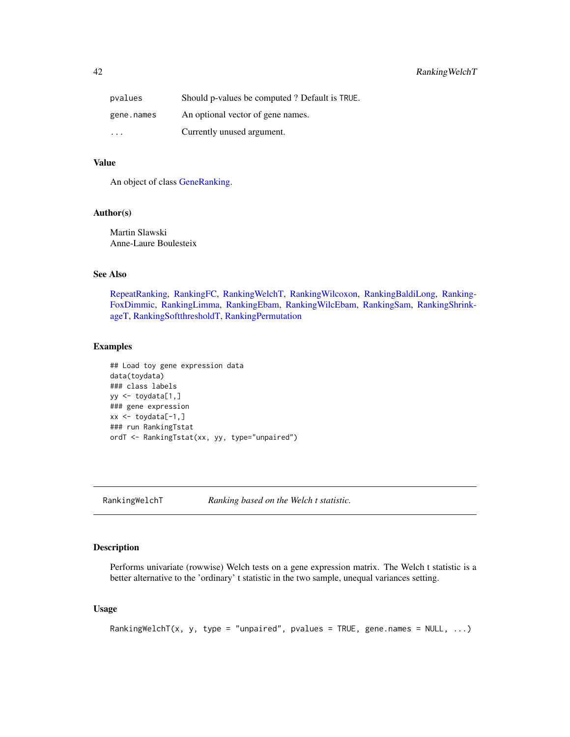<span id="page-41-0"></span>

| pvalues                 | Should p-values be computed? Default is TRUE. |
|-------------------------|-----------------------------------------------|
| gene.names              | An optional vector of gene names.             |
| $\cdot$ $\cdot$ $\cdot$ | Currently unused argument.                    |

## Value

An object of class [GeneRanking.](#page-12-1)

## Author(s)

Martin Slawski Anne-Laure Boulesteix

# See Also

[RepeatRanking,](#page-46-1) [RankingFC,](#page-30-1) [RankingWelchT,](#page-41-1) [RankingWilcoxon,](#page-44-1) [RankingBaldiLong,](#page-26-1) [Ranking-](#page-31-1)[FoxDimmic,](#page-31-1) [RankingLimma,](#page-32-1) [RankingEbam,](#page-28-1) [RankingWilcEbam,](#page-42-1) [RankingSam,](#page-35-1) [RankingShrink](#page-37-1)[ageT,](#page-37-1) [RankingSoftthresholdT,](#page-38-1) [RankingPermutation](#page-34-1)

#### Examples

```
## Load toy gene expression data
data(toydata)
### class labels
yy <- toydata[1,]
### gene expression
xx \leftarrow \text{toydata}[-1, ]### run RankingTstat
ordT <- RankingTstat(xx, yy, type="unpaired")
```
<span id="page-41-1"></span>RankingWelchT *Ranking based on the Welch t statistic.*

# Description

Performs univariate (rowwise) Welch tests on a gene expression matrix. The Welch t statistic is a better alternative to the 'ordinary' t statistic in the two sample, unequal variances setting.

## Usage

```
RankingWelchT(x, y, type = "unpaired", pvalues = TRUE, gene.names = NULL, ...)
```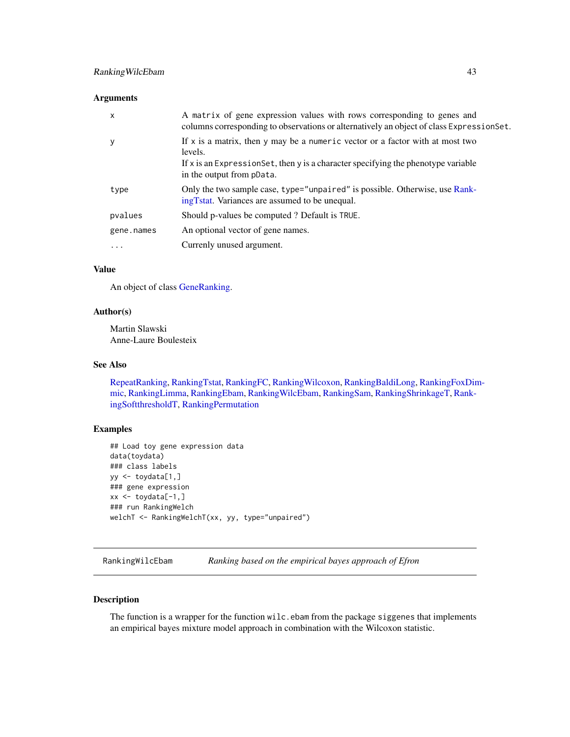### <span id="page-42-0"></span>**Arguments**

| x          | A matrix of gene expression values with rows corresponding to genes and<br>columns corresponding to observations or alternatively an object of class ExpressionSet.                                               |
|------------|-------------------------------------------------------------------------------------------------------------------------------------------------------------------------------------------------------------------|
| у          | If $x$ is a matrix, then $y$ may be a numeric vector or a factor with at most two<br>levels.<br>If $x$ is an Expression Set, then y is a character specifying the phenotype variable<br>in the output from pData. |
| type       | Only the two sample case, type="unpaired" is possible. Otherwise, use Rank-<br>ing Tstat. Variances are assumed to be unequal.                                                                                    |
| pvalues    | Should p-values be computed ? Default is TRUE.                                                                                                                                                                    |
| gene.names | An optional vector of gene names.                                                                                                                                                                                 |
| $\cdots$   | Currenly unused argument.                                                                                                                                                                                         |

#### Value

An object of class [GeneRanking.](#page-12-1)

# Author(s)

Martin Slawski Anne-Laure Boulesteix

## See Also

[RepeatRanking,](#page-46-1) [RankingTstat,](#page-40-1) [RankingFC,](#page-30-1) [RankingWilcoxon,](#page-44-1) [RankingBaldiLong,](#page-26-1) [RankingFoxDim](#page-31-1)[mic,](#page-31-1) [RankingLimma,](#page-32-1) [RankingEbam,](#page-28-1) [RankingWilcEbam,](#page-42-1) [RankingSam,](#page-35-1) [RankingShrinkageT,](#page-37-1) [Rank](#page-38-1)[ingSoftthresholdT,](#page-38-1) [RankingPermutation](#page-34-1)

# Examples

```
## Load toy gene expression data
data(toydata)
### class labels
yy <- toydata[1,]
### gene expression
xx \leftarrow \text{toydata}[-1, ]### run RankingWelch
welchT <- RankingWelchT(xx, yy, type="unpaired")
```
<span id="page-42-1"></span>RankingWilcEbam *Ranking based on the empirical bayes approach of Efron*

# Description

The function is a wrapper for the function wilc.ebam from the package siggenes that implements an empirical bayes mixture model approach in combination with the Wilcoxon statistic.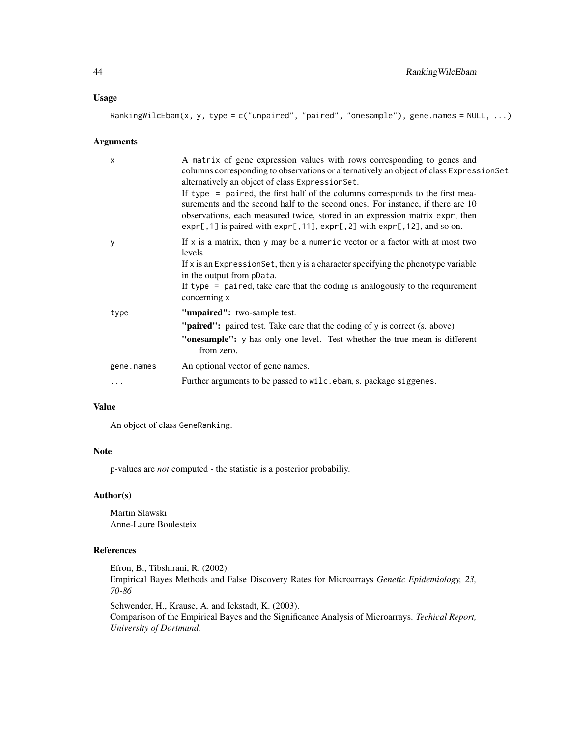## Usage

RankingWilcEbam(x, y, type = c("unpaired", "paired", "onesample"), gene.names = NULL, ...)

## Arguments

| $\times$   | A matrix of gene expression values with rows corresponding to genes and<br>columns corresponding to observations or alternatively an object of class Expression Set<br>alternatively an object of class Expression Set.<br>If type = paired, the first half of the columns corresponds to the first mea- |
|------------|----------------------------------------------------------------------------------------------------------------------------------------------------------------------------------------------------------------------------------------------------------------------------------------------------------|
|            | surements and the second half to the second ones. For instance, if there are 10<br>observations, each measured twice, stored in an expression matrix expr, then<br>$exp[$ , 1] is paired with $exp[$ , 11], $exp[$ , 2] with $exp[$ , 12], and so on.                                                    |
| у          | If $x$ is a matrix, then y may be a numeric vector or a factor with at most two<br>levels.<br>If $x$ is an Expression Set, then $y$ is a character specifying the phenotype variable                                                                                                                     |
|            | in the output from pData.                                                                                                                                                                                                                                                                                |
|            | If type $=$ paired, take care that the coding is analogously to the requirement<br>concerning x                                                                                                                                                                                                          |
| type       | "unpaired": two-sample test.                                                                                                                                                                                                                                                                             |
|            | "paired": paired test. Take care that the coding of y is correct (s. above)                                                                                                                                                                                                                              |
|            | "onesample": y has only one level. Test whether the true mean is different<br>from zero.                                                                                                                                                                                                                 |
| gene.names | An optional vector of gene names.                                                                                                                                                                                                                                                                        |
| $\cdots$   | Further arguments to be passed to wilc.ebam, s. package siggenes.                                                                                                                                                                                                                                        |

## Value

An object of class GeneRanking.

# Note

p-values are *not* computed - the statistic is a posterior probabiliy.

# Author(s)

Martin Slawski Anne-Laure Boulesteix

# References

Efron, B., Tibshirani, R. (2002).

Empirical Bayes Methods and False Discovery Rates for Microarrays *Genetic Epidemiology, 23, 70-86*

Schwender, H., Krause, A. and Ickstadt, K. (2003). Comparison of the Empirical Bayes and the Significance Analysis of Microarrays. *Techical Report, University of Dortmund.*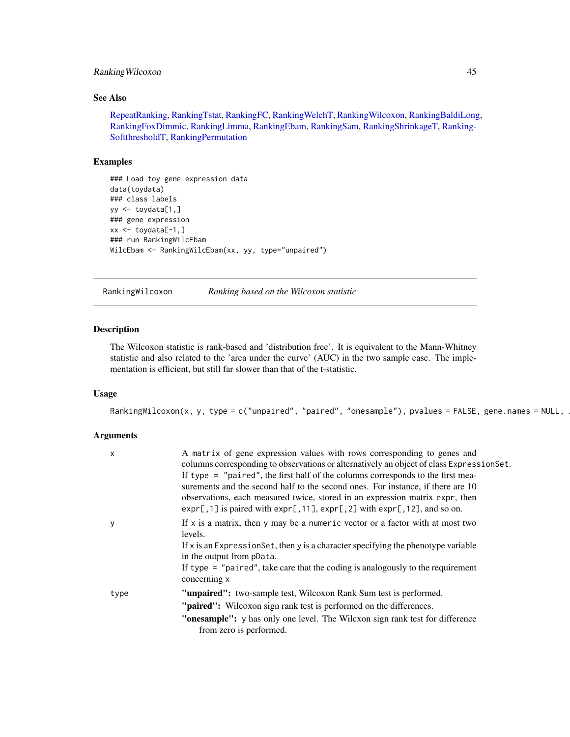# <span id="page-44-0"></span>Ranking Wilcoxon 45

#### See Also

[RepeatRanking,](#page-46-1) [RankingTstat,](#page-40-1) [RankingFC,](#page-30-1) [RankingWelchT,](#page-41-1) [RankingWilcoxon,](#page-44-1) [RankingBaldiLong,](#page-26-1) [RankingFoxDimmic,](#page-31-1) [RankingLimma,](#page-32-1) [RankingEbam,](#page-28-1) [RankingSam,](#page-35-1) [RankingShrinkageT,](#page-37-1) [Ranking-](#page-38-1)[SoftthresholdT,](#page-38-1) [RankingPermutation](#page-34-1)

## Examples

```
### Load toy gene expression data
data(toydata)
### class labels
yy <- toydata[1,]
### gene expression
xx <- toydata[-1,]
### run RankingWilcEbam
WilcEbam <- RankingWilcEbam(xx, yy, type="unpaired")
```
<span id="page-44-1"></span>RankingWilcoxon *Ranking based on the Wilcoxon statistic*

#### Description

The Wilcoxon statistic is rank-based and 'distribution free'. It is equivalent to the Mann-Whitney statistic and also related to the 'area under the curve' (AUC) in the two sample case. The implementation is efficient, but still far slower than that of the t-statistic.

# Usage

RankingWilcoxon(x, y, type = c("unpaired", "paired", "onesample"), pvalues = FALSE, gene.names = NULL,

# Arguments

| X    | A matrix of gene expression values with rows corresponding to genes and<br>columns corresponding to observations or alternatively an object of class ExpressionSet.<br>If type $=$ "paired", the first half of the columns corresponds to the first mea-<br>surements and the second half to the second ones. For instance, if there are 10<br>observations, each measured twice, stored in an expression matrix expr, then<br>$exp[$ , 1] is paired with $exp[$ , 11], $exp[$ , 2] with $exp[$ , 12], and so on. |
|------|-------------------------------------------------------------------------------------------------------------------------------------------------------------------------------------------------------------------------------------------------------------------------------------------------------------------------------------------------------------------------------------------------------------------------------------------------------------------------------------------------------------------|
| у    | If $x$ is a matrix, then y may be a numeric vector or a factor with at most two<br>levels.<br>If x is an Expression Set, then y is a character specifying the phenotype variable<br>in the output from pData.<br>If type $=$ "paired", take care that the coding is analogously to the requirement<br>concerning x                                                                                                                                                                                                |
| type | <b>"unpaired":</b> two-sample test, Wilcoxon Rank Sum test is performed.<br>" <b>paired":</b> Wilcoxon sign rank test is performed on the differences.<br>"onesample": y has only one level. The Wilcxon sign rank test for difference<br>from zero is performed.                                                                                                                                                                                                                                                 |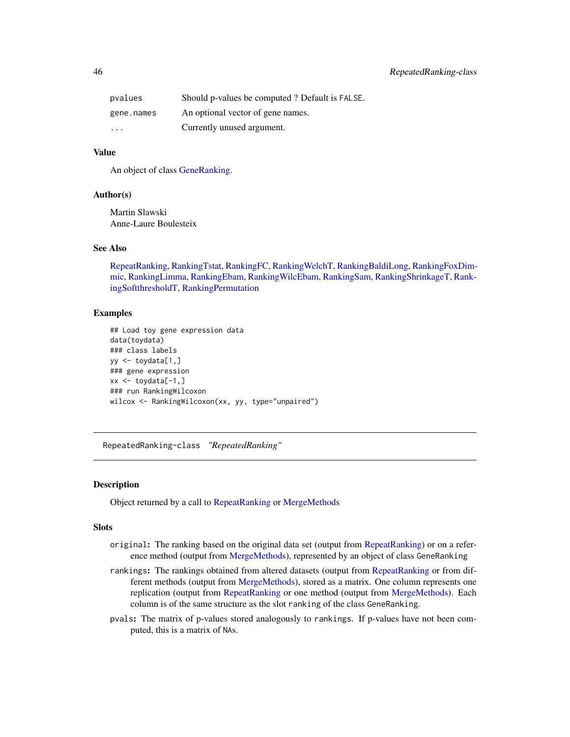<span id="page-45-0"></span>

| pvalues                 | Should p-values be computed ? Default is FALSE. |
|-------------------------|-------------------------------------------------|
| gene.names              | An optional vector of gene names.               |
| $\cdot$ $\cdot$ $\cdot$ | Currently unused argument.                      |

# Value

An object of class [GeneRanking.](#page-12-1)

## Author(s)

Martin Slawski Anne-Laure Boulesteix

#### See Also

[RepeatRanking,](#page-46-1) [RankingTstat,](#page-40-1) [RankingFC,](#page-30-1) [RankingWelchT,](#page-41-1) [RankingBaldiLong,](#page-26-1) [RankingFoxDim](#page-31-1)[mic,](#page-31-1) [RankingLimma,](#page-32-1) [RankingEbam,](#page-28-1) [RankingWilcEbam,](#page-42-1) [RankingSam,](#page-35-1) [RankingShrinkageT,](#page-37-1) [Rank](#page-38-1)[ingSoftthresholdT,](#page-38-1) [RankingPermutation](#page-34-1)

## Examples

```
## Load toy gene expression data
data(toydata)
### class labels
yy \leftarrow toydata[1,]### gene expression
xx <- toydata[-1,]
### run RankingWilcoxon
wilcox <- RankingWilcoxon(xx, yy, type="unpaired")
```
<span id="page-45-2"></span>RepeatedRanking-class *"RepeatedRanking"*

#### <span id="page-45-1"></span>Description

Object returned by a call to [RepeatRanking](#page-46-1) or [MergeMethods](#page-25-1)

## Slots

- original: The ranking based on the original data set (output from [RepeatRanking\)](#page-46-1) or on a reference method (output from [MergeMethods\)](#page-25-1), represented by an object of class GeneRanking
- rankings: The rankings obtained from altered datasets (output from [RepeatRanking](#page-46-1) or from different methods (output from [MergeMethods\)](#page-25-1), stored as a matrix. One column represents one replication (output from [RepeatRanking](#page-46-1) or one method (output from [MergeMethods\)](#page-25-1). Each column is of the same structure as the slot ranking of the class GeneRanking.
- pvals: The matrix of p-values stored analogously to rankings. If p-values have not been computed, this is a matrix of NAs.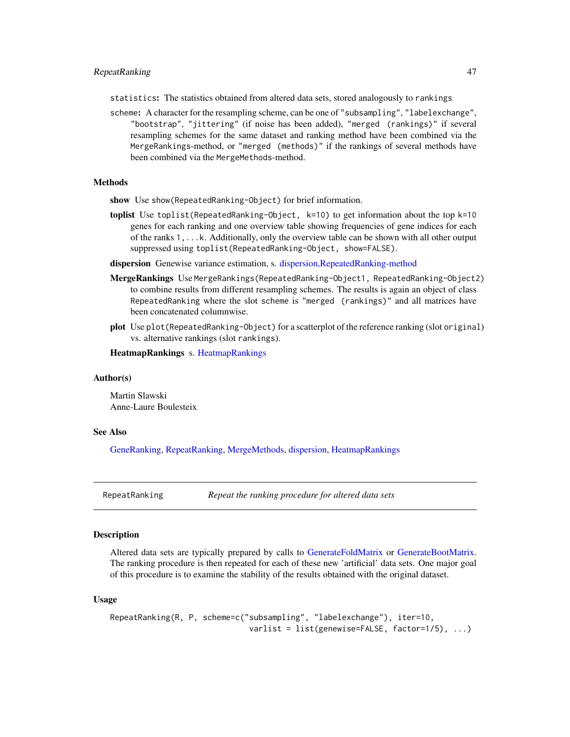<span id="page-46-0"></span>statistics: The statistics obtained from altered data sets, stored analogously to rankings

scheme: A character for the resampling scheme, can be one of "subsampling", "labelexchange", "bootstrap", "jittering" (if noise has been added), "merged (rankings)" if several resampling schemes for the same dataset and ranking method have been combined via the MergeRankings-method, or "merged (methods)" if the rankings of several methods have been combined via the MergeMethods-method.

#### **Methods**

show Use show(RepeatedRanking-Object) for brief information.

- toplist Use toplist (RepeatedRanking-Object,  $k=10$ ) to get information about the top  $k=10$ genes for each ranking and one overview table showing frequencies of gene indices for each of the ranks 1,...k. Additionally, only the overview table can be shown with all other output suppressed using toplist(RepeatedRanking-Object, show=FALSE).
- dispersion Genewise variance estimation, s. [dispersion,RepeatedRanking-method](#page-10-1)
- MergeRankings Use MergeRankings(RepeatedRanking-Object1, RepeatedRanking-Object2) to combine results from different resampling schemes. The results is again an object of class RepeatedRanking where the slot scheme is "merged (rankings)" and all matrices have been concatenated columnwise.
- plot Use plot(RepeatedRanking-Object) for a scatterplot of the reference ranking (slot original) vs. alternative rankings (slot rankings).

HeatmapRankings s. [HeatmapRankings](#page-24-1)

#### Author(s)

Martin Slawski Anne-Laure Boulesteix

#### See Also

[GeneRanking,](#page-12-1) [RepeatRanking,](#page-46-1) [MergeMethods,](#page-25-1) [dispersion,](#page-10-1) [HeatmapRankings](#page-24-1)

<span id="page-46-1"></span>RepeatRanking *Repeat the ranking procedure for altered data sets*

## Description

Altered data sets are typically prepared by calls to [GenerateFoldMatrix](#page-14-1) or [GenerateBootMatrix.](#page-13-1) The ranking procedure is then repeated for each of these new 'artificial' data sets. One major goal of this procedure is to examine the stability of the results obtained with the original dataset.

#### Usage

```
RepeatRanking(R, P, scheme=c("subsampling", "labelexchange"), iter=10,
                              varlist = list(genewise=FALSE, factor=1/5), ...)
```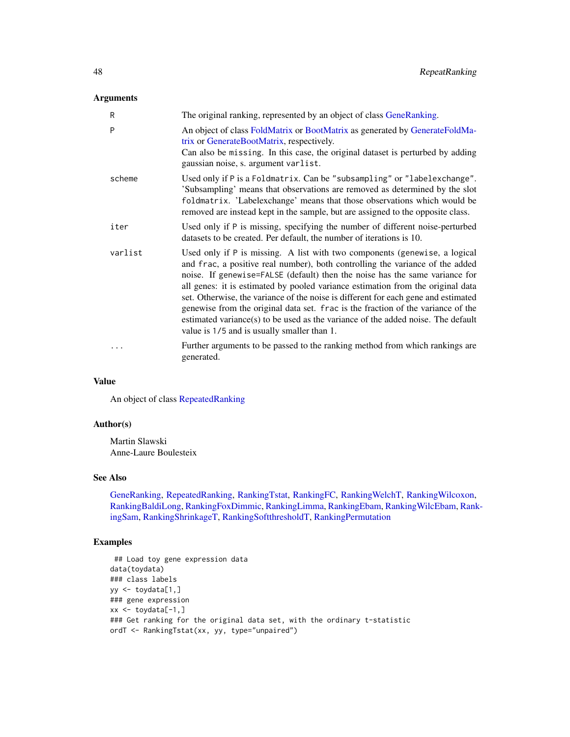# Arguments

| R       | The original ranking, represented by an object of class GeneRanking.                                                                                                                                                                                                                                                                                                                                                                                                                                                                                                                                                                       |
|---------|--------------------------------------------------------------------------------------------------------------------------------------------------------------------------------------------------------------------------------------------------------------------------------------------------------------------------------------------------------------------------------------------------------------------------------------------------------------------------------------------------------------------------------------------------------------------------------------------------------------------------------------------|
| P       | An object of class FoldMatrix or BootMatrix as generated by GenerateFoldMa-<br>trix or GenerateBootMatrix, respectively.<br>Can also be missing. In this case, the original dataset is perturbed by adding<br>gaussian noise, s. argument varlist.                                                                                                                                                                                                                                                                                                                                                                                         |
| scheme  | Used only if P is a Foldmatrix. Can be "subsampling" or "labelexchange".<br>'Subsampling' means that observations are removed as determined by the slot<br>foldmatrix. 'Labelexchange' means that those observations which would be<br>removed are instead kept in the sample, but are assigned to the opposite class.                                                                                                                                                                                                                                                                                                                     |
| iter    | Used only if P is missing, specifying the number of different noise-perturbed<br>datasets to be created. Per default, the number of iterations is 10.                                                                                                                                                                                                                                                                                                                                                                                                                                                                                      |
| varlist | Used only if P is missing. A list with two components (genewise, a logical<br>and frac, a positive real number), both controlling the variance of the added<br>noise. If genewise=FALSE (default) then the noise has the same variance for<br>all genes: it is estimated by pooled variance estimation from the original data<br>set. Otherwise, the variance of the noise is different for each gene and estimated<br>genewise from the original data set. frac is the fraction of the variance of the<br>estimated variance(s) to be used as the variance of the added noise. The default<br>value is 1/5 and is usually smaller than 1. |
| .       | Further arguments to be passed to the ranking method from which rankings are<br>generated.                                                                                                                                                                                                                                                                                                                                                                                                                                                                                                                                                 |

## Value

An object of class [RepeatedRanking](#page-45-1)

## Author(s)

Martin Slawski Anne-Laure Boulesteix

# See Also

[GeneRanking,](#page-12-1) [RepeatedRanking,](#page-45-1) [RankingTstat,](#page-40-1) [RankingFC,](#page-30-1) [RankingWelchT,](#page-41-1) [RankingWilcoxon,](#page-44-1) [RankingBaldiLong,](#page-26-1) [RankingFoxDimmic,](#page-31-1) [RankingLimma,](#page-32-1) [RankingEbam,](#page-28-1) [RankingWilcEbam,](#page-42-1) [Rank](#page-35-1)[ingSam,](#page-35-1) [RankingShrinkageT,](#page-37-1) [RankingSoftthresholdT,](#page-38-1) [RankingPermutation](#page-34-1)

# Examples

```
## Load toy gene expression data
data(toydata)
### class labels
yy <- toydata[1,]
### gene expression
xx \leftarrow \text{toydata}[-1, ]### Get ranking for the original data set, with the ordinary t-statistic
ordT <- RankingTstat(xx, yy, type="unpaired")
```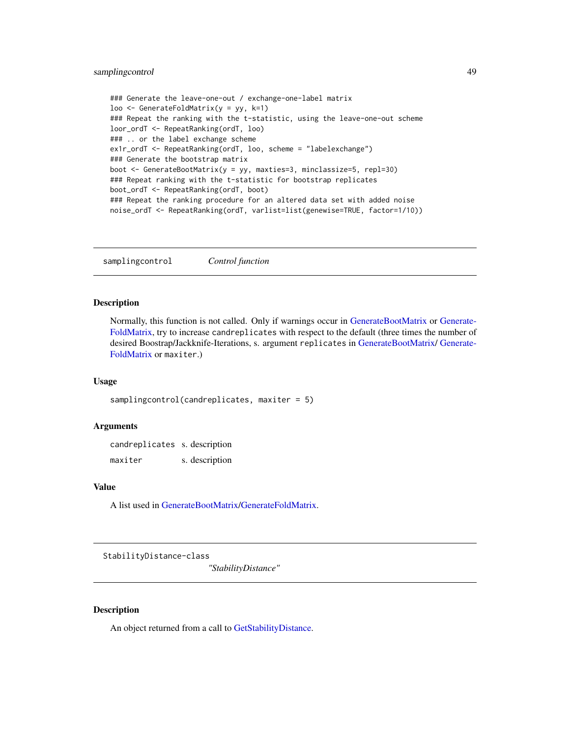# <span id="page-48-0"></span>samplingcontrol 49

```
### Generate the leave-one-out / exchange-one-label matrix
loo <- GenerateFoldMatrix(y = yy, k=1)
### Repeat the ranking with the t-statistic, using the leave-one-out scheme
loor_ordT <- RepeatRanking(ordT, loo)
### .. or the label exchange scheme
ex1r_ordT <- RepeatRanking(ordT, loo, scheme = "labelexchange")
### Generate the bootstrap matrix
boot <- GenerateBootMatrix(y = yy, maxties=3, minclassize=5, repl=30)
### Repeat ranking with the t-statistic for bootstrap replicates
boot_ordT <- RepeatRanking(ordT, boot)
### Repeat the ranking procedure for an altered data set with added noise
noise_ordT <- RepeatRanking(ordT, varlist=list(genewise=TRUE, factor=1/10))
```
<span id="page-48-1"></span>samplingcontrol *Control function*

# Description

Normally, this function is not called. Only if warnings occur in [GenerateBootMatrix](#page-13-1) or [Generate-](#page-14-1)[FoldMatrix,](#page-14-1) try to increase candreplicates with respect to the default (three times the number of desired Boostrap/Jackknife-Iterations, s. argument replicates in [GenerateBootMatrix/](#page-13-1) [Generate-](#page-14-1)[FoldMatrix](#page-14-1) or maxiter.)

#### Usage

```
samplingcontrol(candreplicates, maxiter = 5)
```
#### Arguments

candreplicates s. description maxiter s. description

# Value

A list used in [GenerateBootMatrix](#page-13-1)[/GenerateFoldMatrix.](#page-14-1)

StabilityDistance-class

*"StabilityDistance"*

# <span id="page-48-2"></span>Description

An object returned from a call to [GetStabilityDistance.](#page-19-1)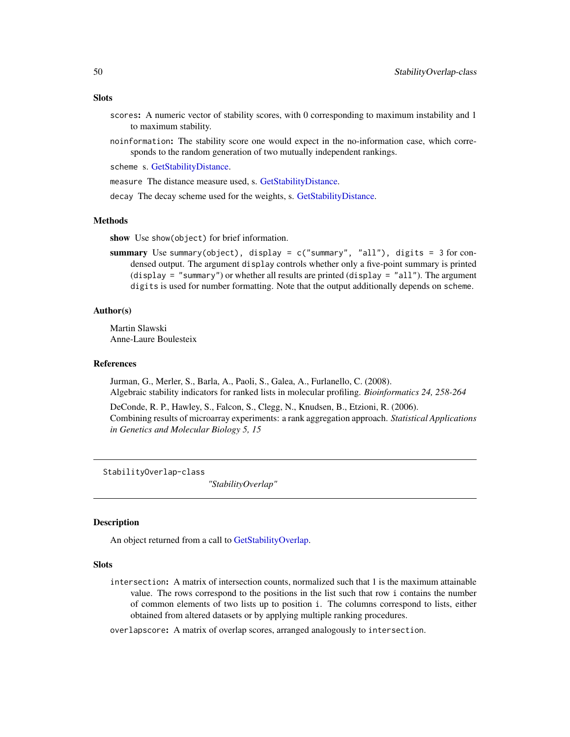#### <span id="page-49-0"></span>**Slots**

- scores: A numeric vector of stability scores, with 0 corresponding to maximum instability and 1 to maximum stability.
- noinformation: The stability score one would expect in the no-information case, which corresponds to the random generation of two mutually independent rankings.

scheme s. [GetStabilityDistance.](#page-19-1)

measure The distance measure used, s. [GetStabilityDistance.](#page-19-1)

decay The decay scheme used for the weights, s. [GetStabilityDistance.](#page-19-1)

#### Methods

show Use show(object) for brief information.

summary Use summary(object), display = c("summary", "all"), digits = 3 for condensed output. The argument display controls whether only a five-point summary is printed (display = "summary") or whether all results are printed (display = "all"). The argument digits is used for number formatting. Note that the output additionally depends on scheme.

## Author(s)

Martin Slawski Anne-Laure Boulesteix

## References

Jurman, G., Merler, S., Barla, A., Paoli, S., Galea, A., Furlanello, C. (2008). Algebraic stability indicators for ranked lists in molecular profiling. *Bioinformatics 24, 258-264*

DeConde, R. P., Hawley, S., Falcon, S., Clegg, N., Knudsen, B., Etzioni, R. (2006). Combining results of microarray experiments: a rank aggregation approach. *Statistical Applications in Genetics and Molecular Biology 5, 15*

StabilityOverlap-class

*"StabilityOverlap"*

## <span id="page-49-1"></span>Description

An object returned from a call to [GetStabilityOverlap.](#page-20-1)

#### **Slots**

intersection: A matrix of intersection counts, normalized such that 1 is the maximum attainable value. The rows correspond to the positions in the list such that row i contains the number of common elements of two lists up to position i. The columns correspond to lists, either obtained from altered datasets or by applying multiple ranking procedures.

overlapscore: A matrix of overlap scores, arranged analogously to intersection.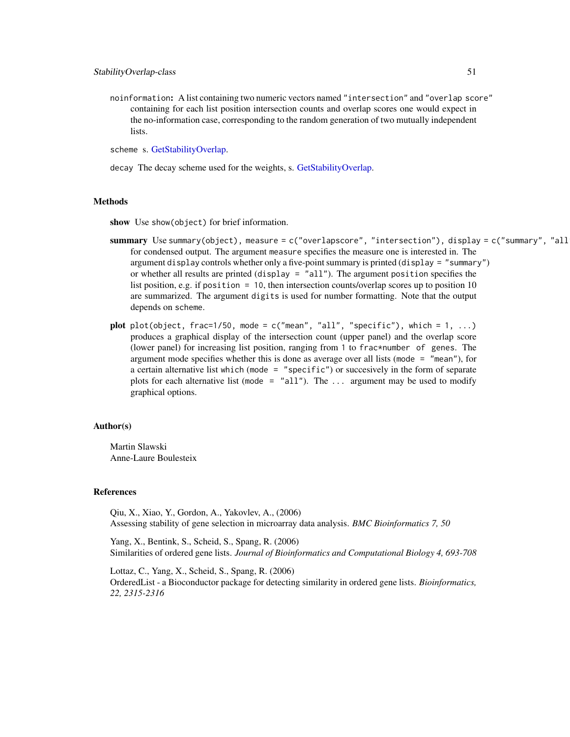noinformation: A list containing two numeric vectors named "intersection" and "overlap score" containing for each list position intersection counts and overlap scores one would expect in the no-information case, corresponding to the random generation of two mutually independent lists.

scheme s. [GetStabilityOverlap.](#page-20-1)

decay The decay scheme used for the weights, s. [GetStabilityOverlap.](#page-20-1)

#### Methods

show Use show(object) for brief information.

- summary Use summary(object), measure = c("overlapscore", "intersection"), display = c("summary", "all for condensed output. The argument measure specifies the measure one is interested in. The argument display controls whether only a five-point summary is printed (display = "summary") or whether all results are printed (display = "all"). The argument position specifies the list position, e.g. if position = 10, then intersection counts/overlap scores up to position 10 are summarized. The argument digits is used for number formatting. Note that the output depends on scheme.
- plot plot(object, frac=1/50, mode =  $c("mean", "all", "specific"), which = 1, ...)$ produces a graphical display of the intersection count (upper panel) and the overlap score (lower panel) for increasing list position, ranging from 1 to frac\*number of genes. The argument mode specifies whether this is done as average over all lists (mode = "mean"), for a certain alternative list which (mode = "specific") or succesively in the form of separate plots for each alternative list (mode =  $"all"$ ). The ... argument may be used to modify graphical options.

#### Author(s)

Martin Slawski Anne-Laure Boulesteix

## References

Qiu, X., Xiao, Y., Gordon, A., Yakovlev, A., (2006) Assessing stability of gene selection in microarray data analysis. *BMC Bioinformatics 7, 50*

Yang, X., Bentink, S., Scheid, S., Spang, R. (2006) Similarities of ordered gene lists. *Journal of Bioinformatics and Computational Biology 4, 693-708*

Lottaz, C., Yang, X., Scheid, S., Spang, R. (2006) OrderedList - a Bioconductor package for detecting similarity in ordered gene lists. *Bioinformatics, 22, 2315-2316*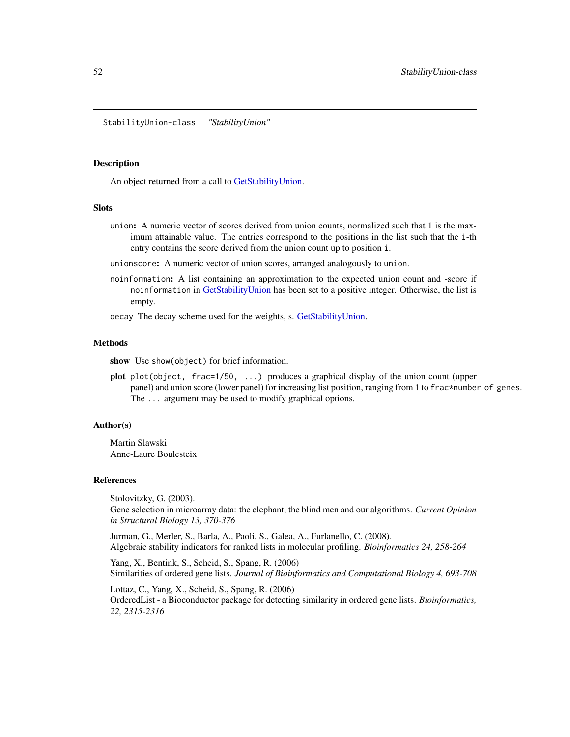<span id="page-51-0"></span>StabilityUnion-class *"StabilityUnion"*

#### Description

An object returned from a call to [GetStabilityUnion.](#page-22-1)

#### **Slots**

- union: A numeric vector of scores derived from union counts, normalized such that 1 is the maximum attainable value. The entries correspond to the positions in the list such that the i-th entry contains the score derived from the union count up to position i.
- unionscore: A numeric vector of union scores, arranged analogously to union.
- noinformation: A list containing an approximation to the expected union count and -score if noinformation in [GetStabilityUnion](#page-22-1) has been set to a positive integer. Otherwise, the list is empty.

decay The decay scheme used for the weights, s. [GetStabilityUnion.](#page-22-1)

## Methods

show Use show(object) for brief information.

plot plot(object, frac=1/50, ...) produces a graphical display of the union count (upper panel) and union score (lower panel) for increasing list position, ranging from 1 to frac\*number of genes. The ... argument may be used to modify graphical options.

## Author(s)

Martin Slawski Anne-Laure Boulesteix

#### References

Stolovitzky, G. (2003). Gene selection in microarray data: the elephant, the blind men and our algorithms. *Current Opinion in Structural Biology 13, 370-376*

Jurman, G., Merler, S., Barla, A., Paoli, S., Galea, A., Furlanello, C. (2008). Algebraic stability indicators for ranked lists in molecular profiling. *Bioinformatics 24, 258-264*

Yang, X., Bentink, S., Scheid, S., Spang, R. (2006) Similarities of ordered gene lists. *Journal of Bioinformatics and Computational Biology 4, 693-708*

Lottaz, C., Yang, X., Scheid, S., Spang, R. (2006) OrderedList - a Bioconductor package for detecting similarity in ordered gene lists. *Bioinformatics, 22, 2315-2316*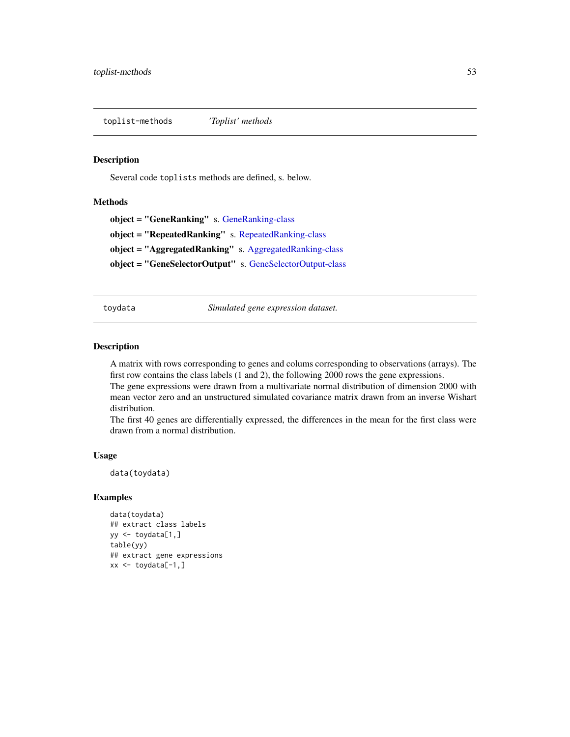<span id="page-52-0"></span>toplist-methods *'Toplist' methods*

## Description

Several code toplists methods are defined, s. below.

## **Methods**

object = "GeneRanking" s. [GeneRanking-class](#page-12-2) object = "RepeatedRanking" s. [RepeatedRanking-class](#page-45-2) object = "AggregatedRanking" s. [AggregatedRanking-class](#page-3-3) object = "GeneSelectorOutput" s. [GeneSelectorOutput-class](#page-18-2)

toydata *Simulated gene expression dataset.*

#### Description

A matrix with rows corresponding to genes and colums corresponding to observations (arrays). The first row contains the class labels (1 and 2), the following 2000 rows the gene expressions. The gene expressions were drawn from a multivariate normal distribution of dimension 2000 with

mean vector zero and an unstructured simulated covariance matrix drawn from an inverse Wishart distribution.

The first 40 genes are differentially expressed, the differences in the mean for the first class were drawn from a normal distribution.

## Usage

```
data(toydata)
```
# Examples

```
data(toydata)
## extract class labels
yy <- toydata[1,]
table(yy)
## extract gene expressions
xx \leftarrow \text{toydata}[-1, ]
```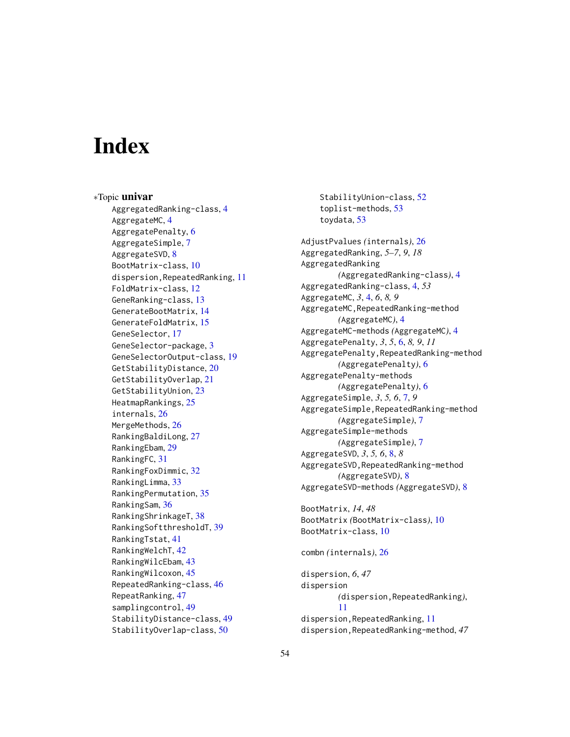# <span id="page-53-0"></span>**Index**

∗Topic univar AggregatedRanking-class, [4](#page-3-0) AggregateMC, [4](#page-3-0) AggregatePenalty, [6](#page-5-0) AggregateSimple, [7](#page-6-0) AggregateSVD, [8](#page-7-0) BootMatrix-class, [10](#page-9-0) dispersion,RepeatedRanking, [11](#page-10-0) FoldMatrix-class, [12](#page-11-0) GeneRanking-class, [13](#page-12-0) GenerateBootMatrix, [14](#page-13-0) GenerateFoldMatrix, [15](#page-14-0) GeneSelector, [17](#page-16-0) GeneSelector-package, [3](#page-2-0) GeneSelectorOutput-class, [19](#page-18-0) GetStabilityDistance, [20](#page-19-0) GetStabilityOverlap, [21](#page-20-0) GetStabilityUnion, [23](#page-22-0) HeatmapRankings, [25](#page-24-0) internals, [26](#page-25-0) MergeMethods, [26](#page-25-0) RankingBaldiLong, [27](#page-26-0) RankingEbam, [29](#page-28-0) RankingFC, [31](#page-30-0) RankingFoxDimmic, [32](#page-31-0) RankingLimma, [33](#page-32-0) RankingPermutation, [35](#page-34-0) RankingSam, [36](#page-35-0) RankingShrinkageT, [38](#page-37-0) RankingSoftthresholdT, [39](#page-38-0) RankingTstat, [41](#page-40-0) RankingWelchT, [42](#page-41-0) RankingWilcEbam, [43](#page-42-0) RankingWilcoxon, [45](#page-44-0) RepeatedRanking-class, [46](#page-45-0) RepeatRanking, [47](#page-46-0) samplingcontrol, [49](#page-48-0) StabilityDistance-class, [49](#page-48-0) StabilityOverlap-class, [50](#page-49-0)

StabilityUnion-class, [52](#page-51-0) toplist-methods, [53](#page-52-0) toydata, [53](#page-52-0)

AdjustPvalues *(*internals*)*, [26](#page-25-0) AggregatedRanking, *5–7*, *9*, *18* AggregatedRanking *(*AggregatedRanking-class*)*, [4](#page-3-0) AggregatedRanking-class, [4,](#page-3-0) *53* AggregateMC, *3*, [4,](#page-3-0) *6*, *8, 9* AggregateMC,RepeatedRanking-method *(*AggregateMC*)*, [4](#page-3-0) AggregateMC-methods *(*AggregateMC*)*, [4](#page-3-0) AggregatePenalty, *3*, *5*, [6,](#page-5-0) *8, 9*, *11* AggregatePenalty,RepeatedRanking-method *(*AggregatePenalty*)*, [6](#page-5-0) AggregatePenalty-methods *(*AggregatePenalty*)*, [6](#page-5-0) AggregateSimple, *3*, *5, 6*, [7,](#page-6-0) *9* AggregateSimple,RepeatedRanking-method *(*AggregateSimple*)*, [7](#page-6-0) AggregateSimple-methods *(*AggregateSimple*)*, [7](#page-6-0) AggregateSVD, *3*, *5, 6*, [8,](#page-7-0) *8* AggregateSVD,RepeatedRanking-method *(*AggregateSVD*)*, [8](#page-7-0) AggregateSVD-methods *(*AggregateSVD*)*, [8](#page-7-0)

BootMatrix, *14*, *48* BootMatrix *(*BootMatrix-class*)*, [10](#page-9-0) BootMatrix-class, [10](#page-9-0)

```
combn (internals), 26
```
dispersion, *6*, *47* dispersion *(*dispersion,RepeatedRanking*)*, [11](#page-10-0) dispersion,RepeatedRanking, [11](#page-10-0) dispersion,RepeatedRanking-method, *47*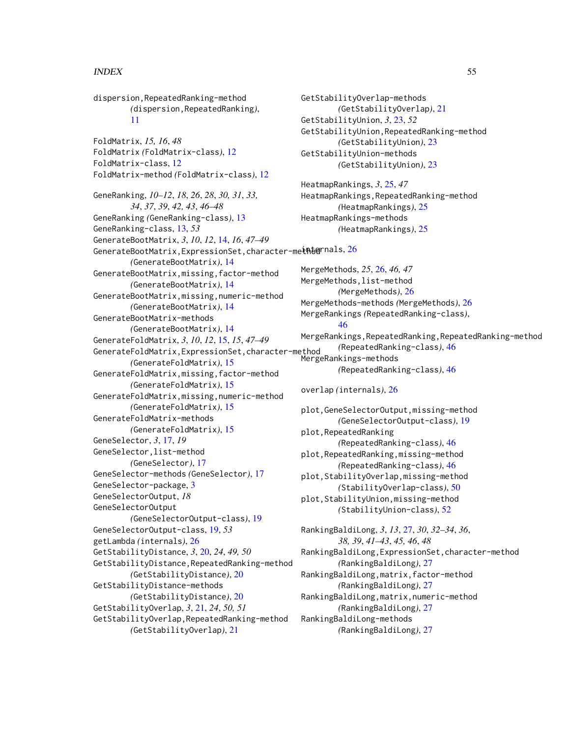## INDEX 55

dispersion,RepeatedRanking-method *(*dispersion,RepeatedRanking*)*, [11](#page-10-0) FoldMatrix, *15, 16*, *48* FoldMatrix *(*FoldMatrix-class*)*, [12](#page-11-0) FoldMatrix-class, [12](#page-11-0) FoldMatrix-method *(*FoldMatrix-class*)*, [12](#page-11-0) GeneRanking, *10–12*, *18*, *26*, *28*, *30, 31*, *33, 34*, *37*, *39*, *42, 43*, *46–48* GeneRanking *(*GeneRanking-class*)*, [13](#page-12-0) GeneRanking-class, [13,](#page-12-0) *53* GenerateBootMatrix, *3*, *10*, *12*, [14,](#page-13-0) *16*, *47–49* <code>GenerateBootMatrix,ExpressionSet,character-me</code>i<code>nternals,[26](#page-25-0)</code> *(*GenerateBootMatrix*)*, [14](#page-13-0) GenerateBootMatrix,missing,factor-method *(*GenerateBootMatrix*)*, [14](#page-13-0) GenerateBootMatrix,missing,numeric-method *(*GenerateBootMatrix*)*, [14](#page-13-0) GenerateBootMatrix-methods *(*GenerateBootMatrix*)*, [14](#page-13-0) GenerateFoldMatrix, *3*, *10*, *12*, [15,](#page-14-0) *15*, *47–49* GenerateFoldMatrix,ExpressionSet,character-method *(*GenerateFoldMatrix*)*, [15](#page-14-0) GenerateFoldMatrix,missing,factor-method *(*GenerateFoldMatrix*)*, [15](#page-14-0) GenerateFoldMatrix,missing,numeric-method *(*GenerateFoldMatrix*)*, [15](#page-14-0) GenerateFoldMatrix-methods *(*GenerateFoldMatrix*)*, [15](#page-14-0) GeneSelector, *3*, [17,](#page-16-0) *19* GeneSelector,list-method *(*GeneSelector*)*, [17](#page-16-0) GeneSelector-methods *(*GeneSelector*)*, [17](#page-16-0) GeneSelector-package, [3](#page-2-0) GeneSelectorOutput, *18* GeneSelectorOutput *(*GeneSelectorOutput-class*)*, [19](#page-18-0) GeneSelectorOutput-class, [19,](#page-18-0) *53* getLambda *(*internals*)*, [26](#page-25-0) GetStabilityDistance, *3*, [20,](#page-19-0) *24*, *49, 50* GetStabilityDistance,RepeatedRanking-method *(*GetStabilityDistance*)*, [20](#page-19-0) GetStabilityDistance-methods *(*GetStabilityDistance*)*, [20](#page-19-0) GetStabilityOverlap, *3*, [21,](#page-20-0) *24*, *50, 51* GetStabilityOverlap,RepeatedRanking-method *(*GetStabilityOverlap*)*, [21](#page-20-0)

```
GetStabilityOverlap-methods
        (GetStabilityOverlap), 21
GetStabilityUnion, 3, 23, 52
GetStabilityUnion,RepeatedRanking-method
        (GetStabilityUnion), 23
GetStabilityUnion-methods
        (GetStabilityUnion), 23
```
HeatmapRankings, *3*, [25,](#page-24-0) *47* HeatmapRankings,RepeatedRanking-method *(*HeatmapRankings*)*, [25](#page-24-0) HeatmapRankings-methods *(*HeatmapRankings*)*, [25](#page-24-0)

MergeMethods, *25*, [26,](#page-25-0) *46, 47* MergeMethods,list-method *(*MergeMethods*)*, [26](#page-25-0) MergeMethods-methods *(*MergeMethods*)*, [26](#page-25-0) MergeRankings *(*RepeatedRanking-class*)*, [46](#page-45-0) MergeRankings,RepeatedRanking,RepeatedRanking-method *(*RepeatedRanking-class*)*, [46](#page-45-0) MergeRankings-methods *(*RepeatedRanking-class*)*, [46](#page-45-0)

overlap *(*internals*)*, [26](#page-25-0)

plot,GeneSelectorOutput,missing-method *(*GeneSelectorOutput-class*)*, [19](#page-18-0) plot,RepeatedRanking *(*RepeatedRanking-class*)*, [46](#page-45-0) plot,RepeatedRanking,missing-method *(*RepeatedRanking-class*)*, [46](#page-45-0) plot,StabilityOverlap,missing-method *(*StabilityOverlap-class*)*, [50](#page-49-0) plot,StabilityUnion,missing-method *(*StabilityUnion-class*)*, [52](#page-51-0)

RankingBaldiLong, *3*, *13*, [27,](#page-26-0) *30*, *32–34*, *36*, *38, 39*, *41–43*, *45, 46*, *48* RankingBaldiLong,ExpressionSet,character-method *(*RankingBaldiLong*)*, [27](#page-26-0) RankingBaldiLong,matrix,factor-method *(*RankingBaldiLong*)*, [27](#page-26-0) RankingBaldiLong,matrix,numeric-method *(*RankingBaldiLong*)*, [27](#page-26-0) RankingBaldiLong-methods *(*RankingBaldiLong*)*, [27](#page-26-0)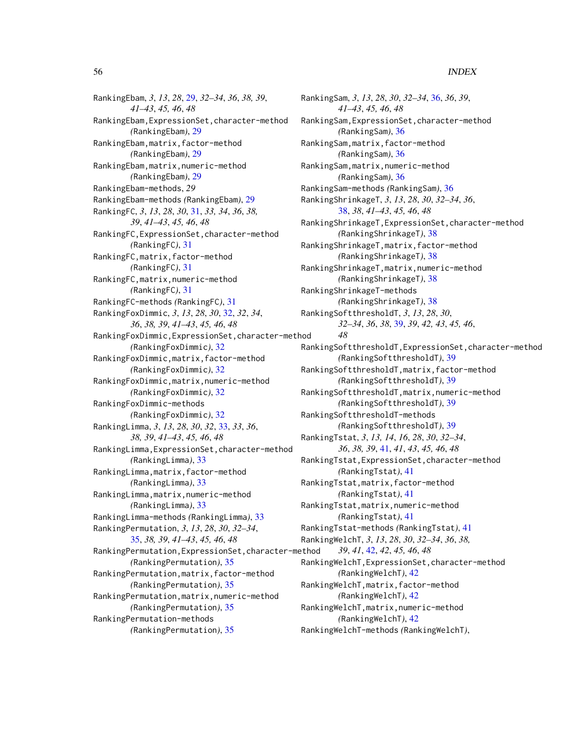## 56 INDEX

RankingEbam, *3*, *13*, *28*, [29,](#page-28-0) *32–34*, *36*, *38, 39*, *41–43*, *45, 46*, *48* RankingEbam,ExpressionSet,character-method *(*RankingEbam*)*, [29](#page-28-0) RankingEbam,matrix,factor-method *(*RankingEbam*)*, [29](#page-28-0) RankingEbam,matrix,numeric-method *(*RankingEbam*)*, [29](#page-28-0) RankingEbam-methods, *29* RankingEbam-methods *(*RankingEbam*)*, [29](#page-28-0) RankingFC, *3*, *13*, *28*, *30*, [31,](#page-30-0) *33, 34*, *36*, *38, 39*, *41–43*, *45, 46*, *48* RankingFC,ExpressionSet,character-method *(*RankingFC*)*, [31](#page-30-0) RankingFC,matrix,factor-method *(*RankingFC*)*, [31](#page-30-0) RankingFC,matrix,numeric-method *(*RankingFC*)*, [31](#page-30-0) RankingFC-methods *(*RankingFC*)*, [31](#page-30-0) RankingFoxDimmic, *3*, *13*, *28*, *30*, [32,](#page-31-0) *32*, *34*, *36*, *38, 39*, *41–43*, *45, 46*, *48* RankingFoxDimmic,ExpressionSet,character-method *(*RankingFoxDimmic*)*, [32](#page-31-0) RankingFoxDimmic,matrix,factor-method *(*RankingFoxDimmic*)*, [32](#page-31-0) RankingFoxDimmic,matrix,numeric-method *(*RankingFoxDimmic*)*, [32](#page-31-0) RankingFoxDimmic-methods *(*RankingFoxDimmic*)*, [32](#page-31-0) RankingLimma, *3*, *13*, *28*, *30*, *32*, [33,](#page-32-0) *33*, *36*, *38, 39*, *41–43*, *45, 46*, *48* RankingLimma,ExpressionSet,character-method *(*RankingLimma*)*, [33](#page-32-0) RankingLimma,matrix,factor-method *(*RankingLimma*)*, [33](#page-32-0) RankingLimma,matrix,numeric-method *(*RankingLimma*)*, [33](#page-32-0) RankingLimma-methods *(*RankingLimma*)*, [33](#page-32-0) RankingPermutation, *3*, *13*, *28*, *30*, *32–34*, [35,](#page-34-0) *38, 39*, *41–43*, *45, 46*, *48* RankingPermutation,ExpressionSet,character-method *(*RankingPermutation*)*, [35](#page-34-0) RankingPermutation,matrix,factor-method *(*RankingPermutation*)*, [35](#page-34-0) RankingPermutation,matrix,numeric-method *(*RankingPermutation*)*, [35](#page-34-0) RankingPermutation-methods *(*RankingPermutation*)*, [35](#page-34-0)

RankingSam, *3*, *13*, *28*, *30*, *32–34*, [36,](#page-35-0) *36*, *39*, *41–43*, *45, 46*, *48* RankingSam,ExpressionSet,character-method *(*RankingSam*)*, [36](#page-35-0) RankingSam,matrix,factor-method *(*RankingSam*)*, [36](#page-35-0) RankingSam,matrix,numeric-method *(*RankingSam*)*, [36](#page-35-0) RankingSam-methods *(*RankingSam*)*, [36](#page-35-0) RankingShrinkageT, *3*, *13*, *28*, *30*, *32–34*, *36*, [38,](#page-37-0) *38*, *41–43*, *45, 46*, *48* RankingShrinkageT,ExpressionSet,character-method *(*RankingShrinkageT*)*, [38](#page-37-0) RankingShrinkageT,matrix,factor-method *(*RankingShrinkageT*)*, [38](#page-37-0) RankingShrinkageT,matrix,numeric-method *(*RankingShrinkageT*)*, [38](#page-37-0) RankingShrinkageT-methods *(*RankingShrinkageT*)*, [38](#page-37-0) RankingSoftthresholdT, *3*, *13*, *28*, *30*, *32–34*, *36*, *38*, [39,](#page-38-0) *39*, *42, 43*, *45, 46*, *48* RankingSoftthresholdT,ExpressionSet,character-method *(*RankingSoftthresholdT*)*, [39](#page-38-0) RankingSoftthresholdT,matrix,factor-method *(*RankingSoftthresholdT*)*, [39](#page-38-0) RankingSoftthresholdT,matrix,numeric-method *(*RankingSoftthresholdT*)*, [39](#page-38-0) RankingSoftthresholdT-methods *(*RankingSoftthresholdT*)*, [39](#page-38-0) RankingTstat, *3*, *13, 14*, *16*, *28*, *30*, *32–34*, *36*, *38, 39*, [41,](#page-40-0) *41*, *43*, *45, 46*, *48* RankingTstat,ExpressionSet,character-method *(*RankingTstat*)*, [41](#page-40-0) RankingTstat,matrix,factor-method *(*RankingTstat*)*, [41](#page-40-0) RankingTstat,matrix,numeric-method *(*RankingTstat*)*, [41](#page-40-0) RankingTstat-methods *(*RankingTstat*)*, [41](#page-40-0) RankingWelchT, *3*, *13*, *28*, *30*, *32–34*, *36*, *38, 39*, *41*, [42,](#page-41-0) *42*, *45, 46*, *48* RankingWelchT,ExpressionSet,character-method *(*RankingWelchT*)*, [42](#page-41-0) RankingWelchT,matrix,factor-method *(*RankingWelchT*)*, [42](#page-41-0) RankingWelchT,matrix,numeric-method *(*RankingWelchT*)*, [42](#page-41-0) RankingWelchT-methods *(*RankingWelchT*)*,